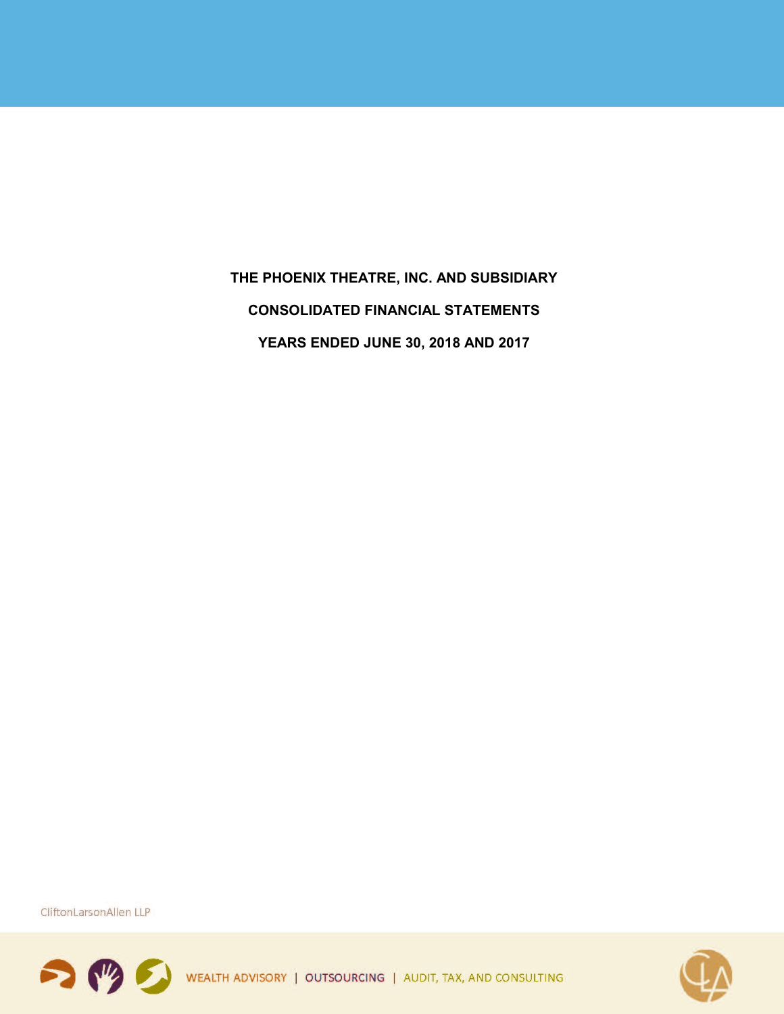# **THE PHOENIX THEATRE, INC. AND SUBSIDIARY CONSOLIDATED FINANCIAL STATEMENTS YEARS ENDED JUNE 30, 2018 AND 2017**

CliftonLarsonAllen LLP



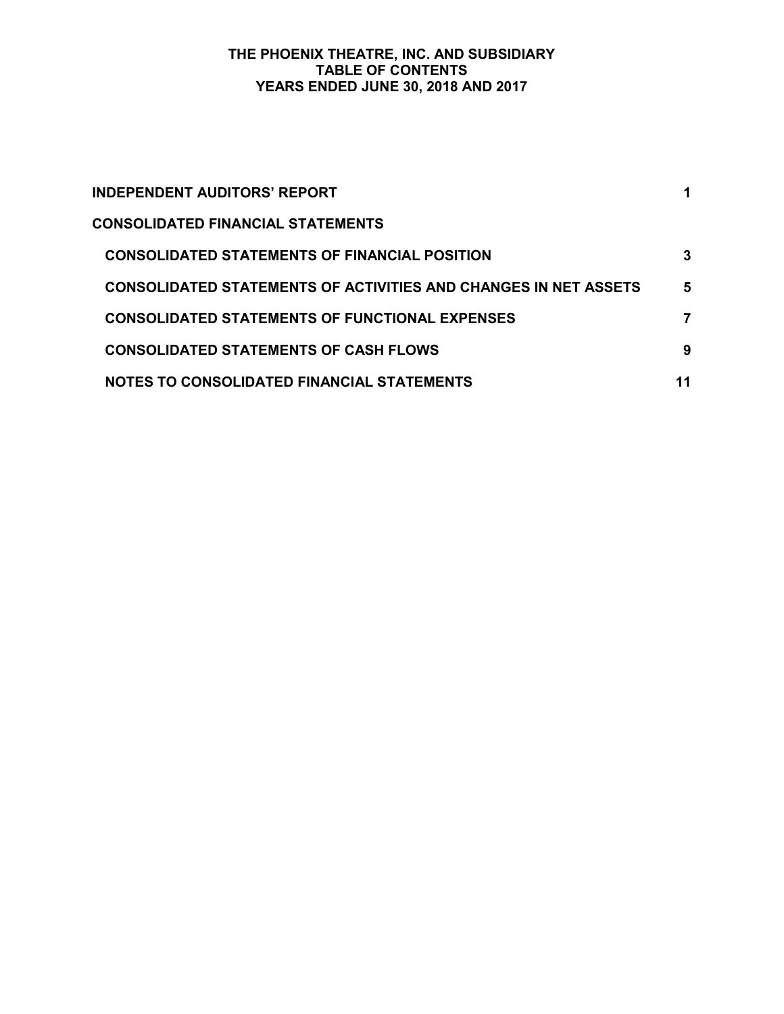#### **THE PHOENIX THEATRE, INC. AND SUBSIDIARY TABLE OF CONTENTS YEARS ENDED JUNE 30, 2018 AND 2017**

| INDEPENDENT AUDITORS' REPORT                                    | 1  |
|-----------------------------------------------------------------|----|
| <b>CONSOLIDATED FINANCIAL STATEMENTS</b>                        |    |
| <b>CONSOLIDATED STATEMENTS OF FINANCIAL POSITION</b>            | 3  |
| CONSOLIDATED STATEMENTS OF ACTIVITIES AND CHANGES IN NET ASSETS | 5  |
| <b>CONSOLIDATED STATEMENTS OF FUNCTIONAL EXPENSES</b>           | 7  |
| <b>CONSOLIDATED STATEMENTS OF CASH FLOWS</b>                    | 9  |
| NOTES TO CONSOLIDATED FINANCIAL STATEMENTS                      | 11 |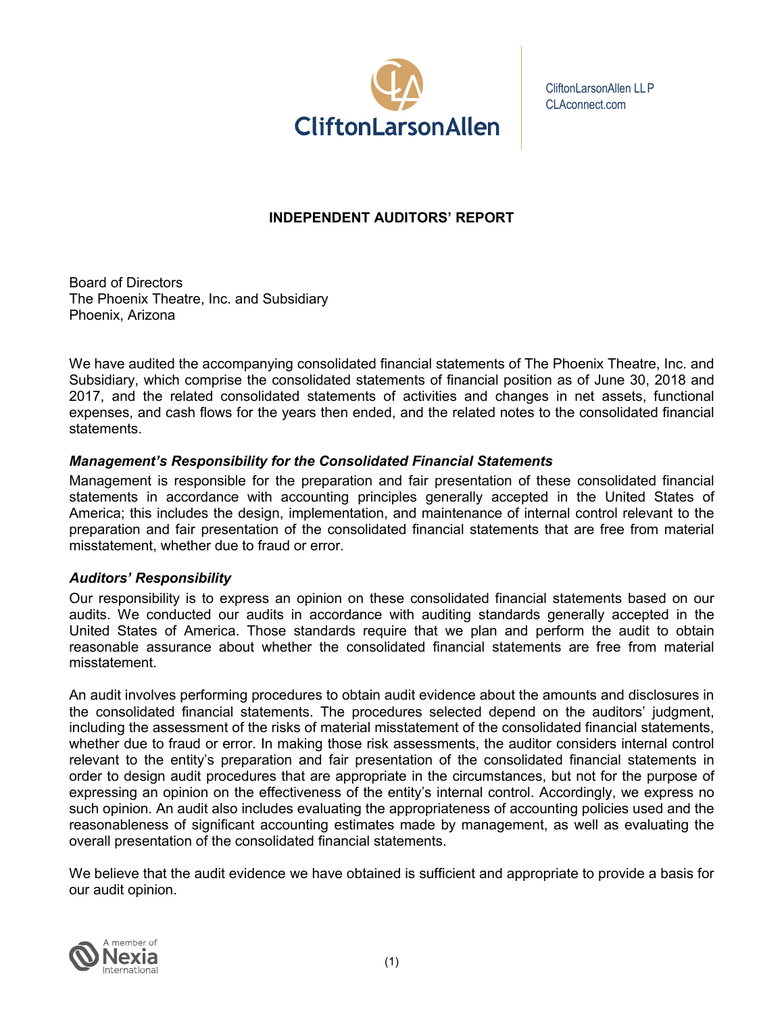

CliftonLarsonAllen LLP CLAconnect.com

# **INDEPENDENT AUDITORS' REPORT**

Board of Directors The Phoenix Theatre, Inc. and Subsidiary Phoenix, Arizona

We have audited the accompanying consolidated financial statements of The Phoenix Theatre, Inc. and Subsidiary, which comprise the consolidated statements of financial position as of June 30, 2018 and 2017, and the related consolidated statements of activities and changes in net assets, functional expenses, and cash flows for the years then ended, and the related notes to the consolidated financial statements.

# *Management's Responsibility for the Consolidated Financial Statements*

Management is responsible for the preparation and fair presentation of these consolidated financial statements in accordance with accounting principles generally accepted in the United States of America; this includes the design, implementation, and maintenance of internal control relevant to the preparation and fair presentation of the consolidated financial statements that are free from material misstatement, whether due to fraud or error.

## *Auditors' Responsibility*

Our responsibility is to express an opinion on these consolidated financial statements based on our audits. We conducted our audits in accordance with auditing standards generally accepted in the United States of America. Those standards require that we plan and perform the audit to obtain reasonable assurance about whether the consolidated financial statements are free from material misstatement.

An audit involves performing procedures to obtain audit evidence about the amounts and disclosures in the consolidated financial statements. The procedures selected depend on the auditors' judgment, including the assessment of the risks of material misstatement of the consolidated financial statements, whether due to fraud or error. In making those risk assessments, the auditor considers internal control relevant to the entity's preparation and fair presentation of the consolidated financial statements in order to design audit procedures that are appropriate in the circumstances, but not for the purpose of expressing an opinion on the effectiveness of the entity's internal control. Accordingly, we express no such opinion. An audit also includes evaluating the appropriateness of accounting policies used and the reasonableness of significant accounting estimates made by management, as well as evaluating the overall presentation of the consolidated financial statements.

We believe that the audit evidence we have obtained is sufficient and appropriate to provide a basis for our audit opinion.

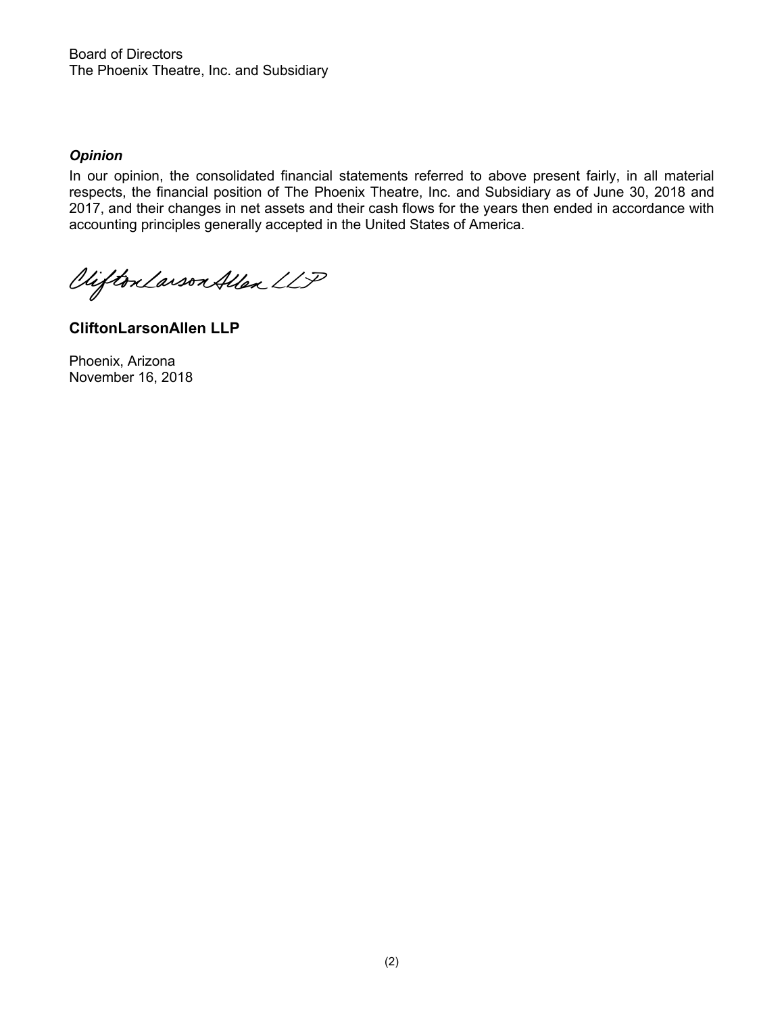Board of Directors The Phoenix Theatre, Inc. and Subsidiary

## *Opinion*

In our opinion, the consolidated financial statements referred to above present fairly, in all material respects, the financial position of The Phoenix Theatre, Inc. and Subsidiary as of June 30, 2018 and 2017, and their changes in net assets and their cash flows for the years then ended in accordance with accounting principles generally accepted in the United States of America.

Vifton Larson Allen LLP

**CliftonLarsonAllen LLP**

Phoenix, Arizona November 16, 2018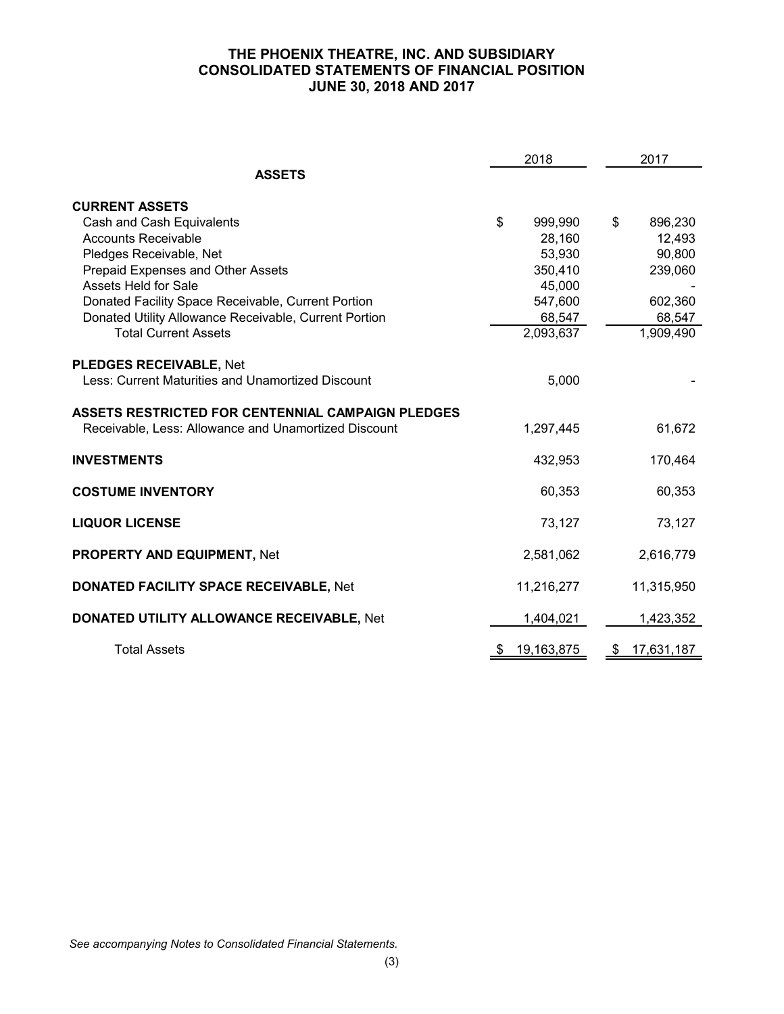## **THE PHOENIX THEATRE, INC. AND SUBSIDIARY CONSOLIDATED STATEMENTS OF FINANCIAL POSITION JUNE 30, 2018 AND 2017**

|                                                                                                                  |           | 2018              | 2017             |
|------------------------------------------------------------------------------------------------------------------|-----------|-------------------|------------------|
| <b>ASSETS</b>                                                                                                    |           |                   |                  |
| <b>CURRENT ASSETS</b>                                                                                            |           |                   |                  |
| Cash and Cash Equivalents                                                                                        | \$        | 999,990           | \$<br>896,230    |
| <b>Accounts Receivable</b>                                                                                       |           | 28,160            | 12,493           |
| Pledges Receivable, Net                                                                                          |           | 53,930            | 90,800           |
| Prepaid Expenses and Other Assets                                                                                |           | 350,410           | 239,060          |
| <b>Assets Held for Sale</b>                                                                                      |           | 45,000            |                  |
| Donated Facility Space Receivable, Current Portion                                                               |           | 547,600           | 602,360          |
| Donated Utility Allowance Receivable, Current Portion                                                            |           | 68,547            | 68,547           |
| <b>Total Current Assets</b>                                                                                      |           | 2,093,637         | 1,909,490        |
| <b>PLEDGES RECEIVABLE, Net</b>                                                                                   |           |                   |                  |
| Less: Current Maturities and Unamortized Discount                                                                |           | 5,000             |                  |
| <b>ASSETS RESTRICTED FOR CENTENNIAL CAMPAIGN PLEDGES</b><br>Receivable, Less: Allowance and Unamortized Discount |           | 1,297,445         | 61,672           |
| <b>INVESTMENTS</b>                                                                                               |           | 432,953           | 170,464          |
| <b>COSTUME INVENTORY</b>                                                                                         |           | 60,353            | 60,353           |
| <b>LIQUOR LICENSE</b>                                                                                            |           | 73,127            | 73,127           |
| <b>PROPERTY AND EQUIPMENT, Net</b>                                                                               |           | 2,581,062         | 2,616,779        |
| <b>DONATED FACILITY SPACE RECEIVABLE, Net</b>                                                                    |           | 11,216,277        | 11,315,950       |
| <b>DONATED UTILITY ALLOWANCE RECEIVABLE, Net</b>                                                                 |           | 1,404,021         | 1,423,352        |
| <b>Total Assets</b>                                                                                              | <u>\$</u> | <u>19,163,875</u> | \$<br>17,631,187 |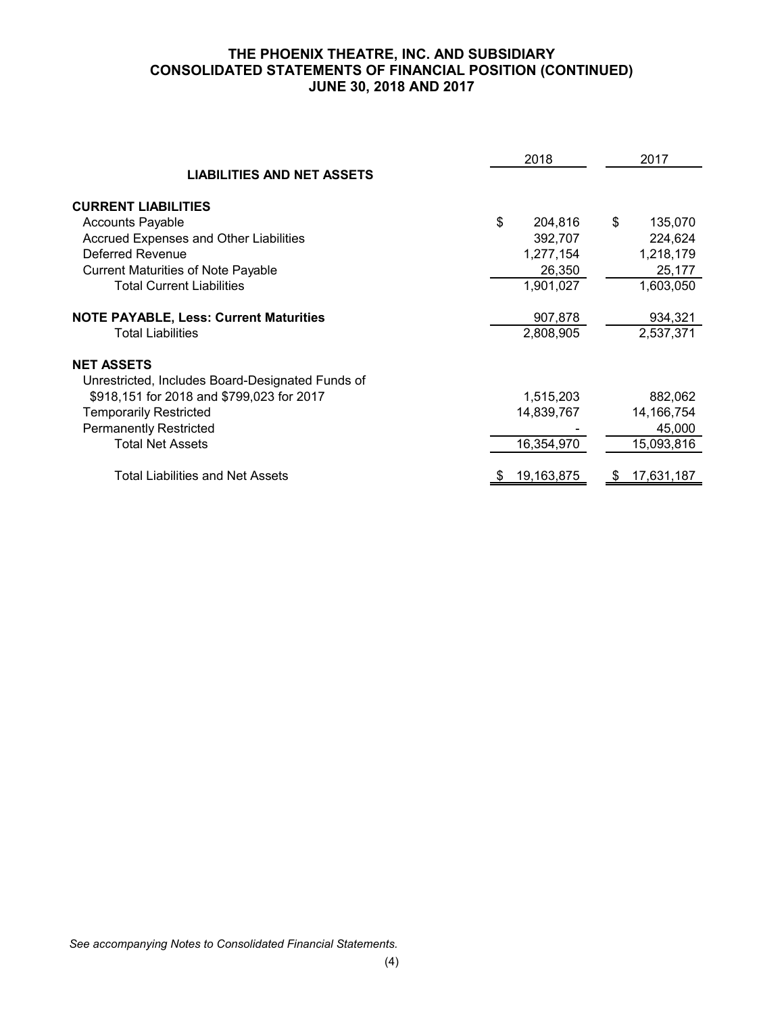## **THE PHOENIX THEATRE, INC. AND SUBSIDIARY CONSOLIDATED STATEMENTS OF FINANCIAL POSITION (CONTINUED) JUNE 30, 2018 AND 2017**

|                                                  | 2018          |    | 2017         |
|--------------------------------------------------|---------------|----|--------------|
| <b>LIABILITIES AND NET ASSETS</b>                |               |    |              |
| <b>CURRENT LIABILITIES</b>                       |               |    |              |
| <b>Accounts Payable</b>                          | \$<br>204,816 | \$ | 135,070      |
| Accrued Expenses and Other Liabilities           | 392,707       |    | 224,624      |
| Deferred Revenue                                 | 1,277,154     |    | 1,218,179    |
| <b>Current Maturities of Note Payable</b>        | 26,350        |    | 25,177       |
| <b>Total Current Liabilities</b>                 | 1,901,027     |    | 1,603,050    |
| <b>NOTE PAYABLE, Less: Current Maturities</b>    | 907,878       |    | 934,321      |
| <b>Total Liabilities</b>                         | 2,808,905     |    | 2,537,371    |
| <b>NET ASSETS</b>                                |               |    |              |
| Unrestricted, Includes Board-Designated Funds of |               |    |              |
| \$918,151 for 2018 and \$799,023 for 2017        | 1,515,203     |    | 882,062      |
| <b>Temporarily Restricted</b>                    | 14,839,767    |    | 14, 166, 754 |
| <b>Permanently Restricted</b>                    |               |    | 45,000       |
| <b>Total Net Assets</b>                          | 16,354,970    |    | 15,093,816   |
| <b>Total Liabilities and Net Assets</b>          | 19,163,875    | S  | 17,631,187   |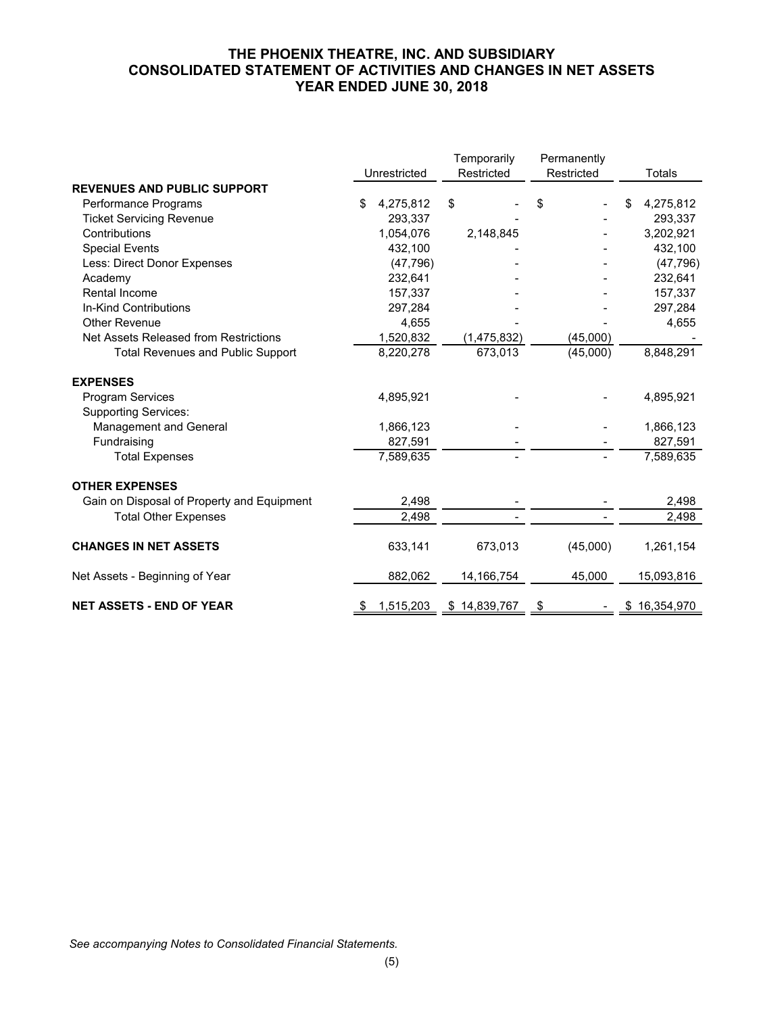## **THE PHOENIX THEATRE, INC. AND SUBSIDIARY CONSOLIDATED STATEMENT OF ACTIVITIES AND CHANGES IN NET ASSETS YEAR ENDED JUNE 30, 2018**

|                                            |                 | Temporarily<br>Permanently |            |          |   |               |
|--------------------------------------------|-----------------|----------------------------|------------|----------|---|---------------|
|                                            | Unrestricted    | Restricted                 | Restricted |          |   | <b>Totals</b> |
| <b>REVENUES AND PUBLIC SUPPORT</b>         |                 |                            |            |          |   |               |
| Performance Programs                       | \$<br>4,275,812 | \$                         | \$         |          | S | 4,275,812     |
| <b>Ticket Servicing Revenue</b>            | 293,337         |                            |            |          |   | 293,337       |
| Contributions                              | 1,054,076       | 2,148,845                  |            |          |   | 3,202,921     |
| <b>Special Events</b>                      | 432,100         |                            |            |          |   | 432,100       |
| Less: Direct Donor Expenses                | (47, 796)       |                            |            |          |   | (47, 796)     |
| Academy                                    | 232,641         |                            |            |          |   | 232,641       |
| Rental Income                              | 157,337         |                            |            |          |   | 157,337       |
| In-Kind Contributions                      | 297,284         |                            |            |          |   | 297,284       |
| <b>Other Revenue</b>                       | 4,655           |                            |            |          |   | 4,655         |
| Net Assets Released from Restrictions      | 1,520,832       | (1, 475, 832)              |            | (45,000) |   |               |
| <b>Total Revenues and Public Support</b>   | 8,220,278       | 673,013                    |            | (45,000) |   | 8,848,291     |
| <b>EXPENSES</b>                            |                 |                            |            |          |   |               |
| Program Services                           | 4,895,921       |                            |            |          |   | 4,895,921     |
| <b>Supporting Services:</b>                |                 |                            |            |          |   |               |
| Management and General                     | 1,866,123       |                            |            |          |   | 1,866,123     |
| Fundraising                                | 827,591         |                            |            |          |   | 827,591       |
| <b>Total Expenses</b>                      | 7,589,635       |                            |            |          |   | 7,589,635     |
| <b>OTHER EXPENSES</b>                      |                 |                            |            |          |   |               |
| Gain on Disposal of Property and Equipment | 2,498           |                            |            |          |   | 2,498         |
| <b>Total Other Expenses</b>                | 2,498           |                            |            |          |   | 2,498         |
| <b>CHANGES IN NET ASSETS</b>               | 633,141         | 673,013                    |            | (45,000) |   | 1,261,154     |
| Net Assets - Beginning of Year             | 882,062         | 14,166,754                 |            | 45,000   |   | 15,093,816    |
| <b>NET ASSETS - END OF YEAR</b>            | 1,515,203       | \$14,839,767               | \$         |          |   | \$16,354,970  |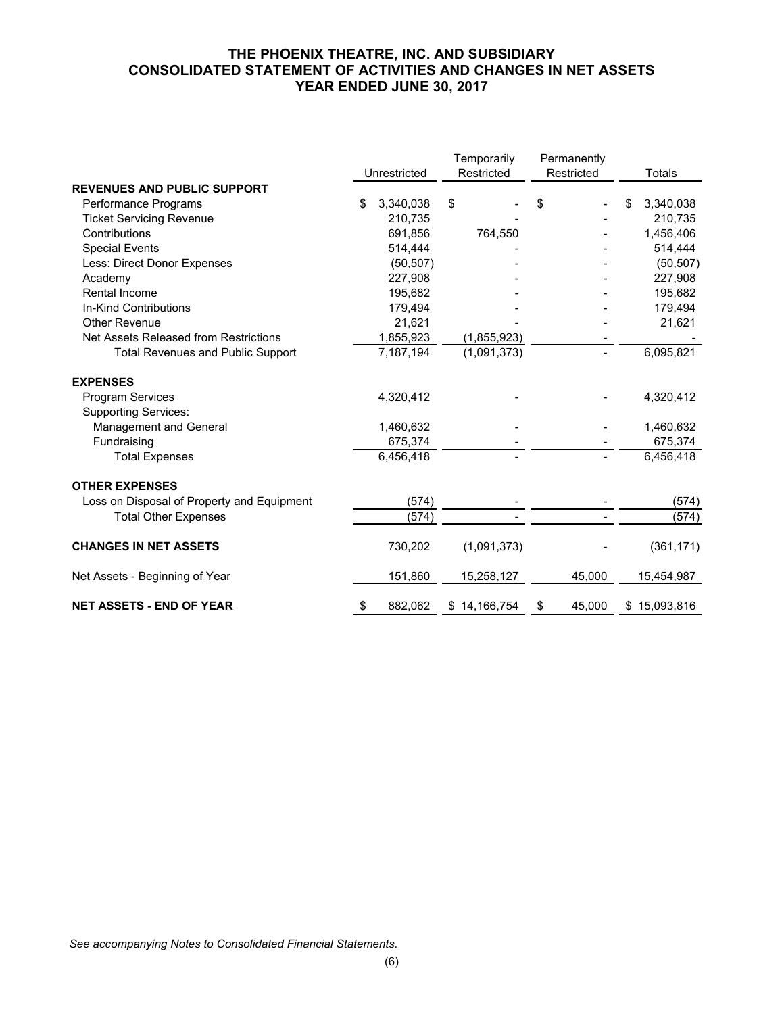## **THE PHOENIX THEATRE, INC. AND SUBSIDIARY CONSOLIDATED STATEMENT OF ACTIVITIES AND CHANGES IN NET ASSETS YEAR ENDED JUNE 30, 2017**

|                                            |    |              |    | Temporarily  |    | Permanently |  |              |  |
|--------------------------------------------|----|--------------|----|--------------|----|-------------|--|--------------|--|
|                                            |    | Unrestricted |    | Restricted   |    | Restricted  |  | Totals       |  |
| <b>REVENUES AND PUBLIC SUPPORT</b>         |    |              |    |              |    |             |  |              |  |
| Performance Programs                       | \$ | 3,340,038    | \$ |              | \$ |             |  | 3,340,038    |  |
| <b>Ticket Servicing Revenue</b>            |    | 210,735      |    |              |    |             |  | 210,735      |  |
| Contributions                              |    | 691,856      |    | 764,550      |    |             |  | 1,456,406    |  |
| <b>Special Events</b>                      |    | 514,444      |    |              |    |             |  | 514,444      |  |
| Less: Direct Donor Expenses                |    | (50, 507)    |    |              |    |             |  | (50, 507)    |  |
| Academy                                    |    | 227,908      |    |              |    |             |  | 227,908      |  |
| Rental Income                              |    | 195,682      |    |              |    |             |  | 195,682      |  |
| In-Kind Contributions                      |    | 179,494      |    |              |    |             |  | 179,494      |  |
| Other Revenue                              |    | 21,621       |    |              |    |             |  | 21,621       |  |
| Net Assets Released from Restrictions      |    | 1,855,923    |    | (1,855,923)  |    |             |  |              |  |
| <b>Total Revenues and Public Support</b>   |    | 7,187,194    |    | (1,091,373)  |    |             |  | 6,095,821    |  |
| <b>EXPENSES</b>                            |    |              |    |              |    |             |  |              |  |
| Program Services                           |    | 4,320,412    |    |              |    |             |  | 4,320,412    |  |
| <b>Supporting Services:</b>                |    |              |    |              |    |             |  |              |  |
| Management and General                     |    | 1,460,632    |    |              |    |             |  | 1,460,632    |  |
| Fundraising                                |    | 675,374      |    |              |    |             |  | 675,374      |  |
| <b>Total Expenses</b>                      |    | 6,456,418    |    |              |    |             |  | 6,456,418    |  |
| <b>OTHER EXPENSES</b>                      |    |              |    |              |    |             |  |              |  |
| Loss on Disposal of Property and Equipment |    | (574)        |    |              |    |             |  | (574)        |  |
| <b>Total Other Expenses</b>                |    | (574)        |    |              |    |             |  | (574)        |  |
| <b>CHANGES IN NET ASSETS</b>               |    | 730,202      |    | (1,091,373)  |    |             |  | (361, 171)   |  |
| Net Assets - Beginning of Year             |    | 151,860      |    | 15,258,127   |    | 45,000      |  | 15,454,987   |  |
| <b>NET ASSETS - END OF YEAR</b>            | \$ | 882,062      |    | \$14,166,754 | \$ | 45,000      |  | \$15,093,816 |  |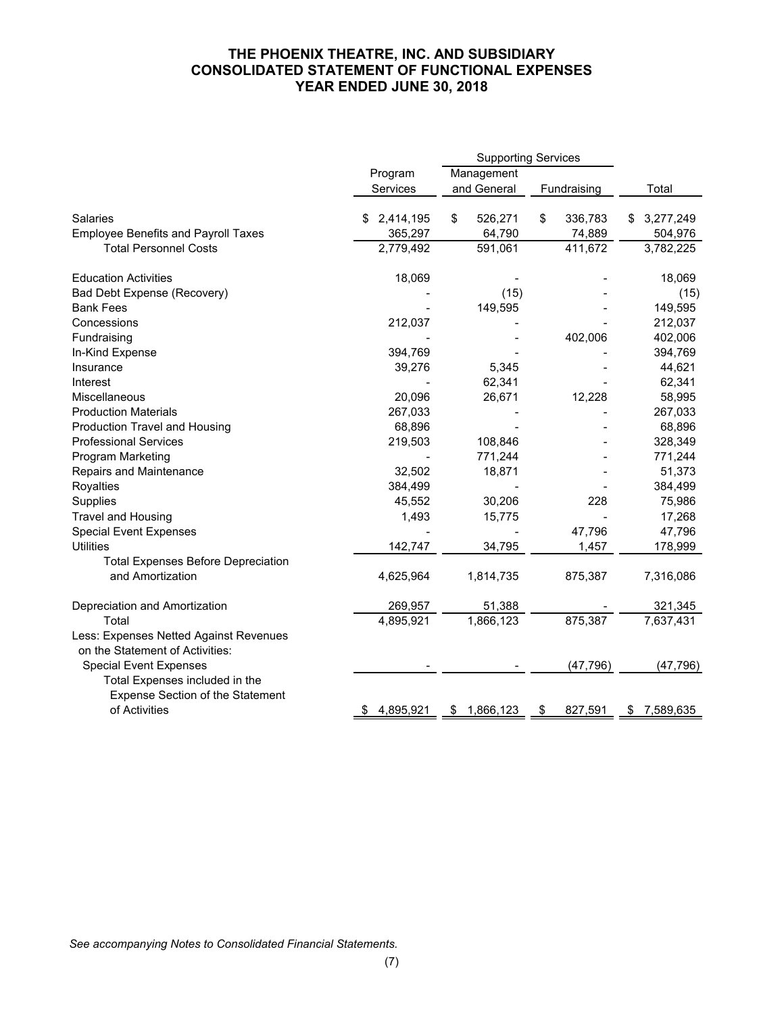## **THE PHOENIX THEATRE, INC. AND SUBSIDIARY CONSOLIDATED STATEMENT OF FUNCTIONAL EXPENSES YEAR ENDED JUNE 30, 2018**

|                                                                           |     |           |             | <b>Supporting Services</b> |             |           |       |           |
|---------------------------------------------------------------------------|-----|-----------|-------------|----------------------------|-------------|-----------|-------|-----------|
|                                                                           |     | Program   |             | Management                 |             |           |       |           |
|                                                                           |     | Services  | and General |                            | Fundraising |           | Total |           |
| Salaries                                                                  |     | 2,414,195 | \$          | 526,271                    | \$          | 336,783   | \$    | 3,277,249 |
| <b>Employee Benefits and Payroll Taxes</b>                                |     | 365,297   |             | 64,790                     |             | 74,889    |       | 504,976   |
| <b>Total Personnel Costs</b>                                              |     | 2,779,492 |             | 591,061                    |             | 411,672   |       | 3,782,225 |
| <b>Education Activities</b>                                               |     | 18,069    |             |                            |             |           |       | 18,069    |
| Bad Debt Expense (Recovery)                                               |     |           |             | (15)                       |             |           |       | (15)      |
| <b>Bank Fees</b>                                                          |     |           |             | 149,595                    |             |           |       | 149,595   |
| Concessions                                                               |     | 212,037   |             |                            |             |           |       | 212,037   |
| Fundraising                                                               |     |           |             |                            |             | 402,006   |       | 402,006   |
| In-Kind Expense                                                           |     | 394,769   |             |                            |             |           |       | 394,769   |
| Insurance                                                                 |     | 39,276    |             | 5,345                      |             |           |       | 44,621    |
| Interest                                                                  |     |           |             | 62,341                     |             |           |       | 62,341    |
| Miscellaneous                                                             |     | 20,096    |             | 26,671                     |             | 12,228    |       | 58,995    |
| <b>Production Materials</b>                                               |     | 267,033   |             |                            |             |           |       | 267,033   |
| Production Travel and Housing                                             |     | 68,896    |             |                            |             |           |       | 68,896    |
| <b>Professional Services</b>                                              |     | 219,503   |             | 108,846                    |             |           |       | 328,349   |
| Program Marketing                                                         |     |           |             | 771,244                    |             |           |       | 771,244   |
| Repairs and Maintenance                                                   |     | 32,502    |             | 18,871                     |             |           |       | 51,373    |
| Royalties                                                                 |     | 384,499   |             |                            |             |           |       | 384,499   |
| Supplies                                                                  |     | 45,552    |             | 30,206                     |             | 228       |       | 75,986    |
| <b>Travel and Housing</b>                                                 |     | 1,493     |             | 15,775                     |             |           |       | 17,268    |
| <b>Special Event Expenses</b>                                             |     |           |             |                            |             | 47,796    |       | 47,796    |
| <b>Utilities</b>                                                          |     | 142,747   |             | 34,795                     |             | 1,457     |       | 178,999   |
| <b>Total Expenses Before Depreciation</b>                                 |     |           |             |                            |             |           |       |           |
| and Amortization                                                          |     | 4,625,964 |             | 1,814,735                  |             | 875,387   |       | 7,316,086 |
| Depreciation and Amortization                                             |     | 269,957   |             | 51,388                     |             |           |       | 321,345   |
| Total                                                                     |     | 4,895,921 |             | 1,866,123                  |             | 875,387   |       | 7,637,431 |
| Less: Expenses Netted Against Revenues<br>on the Statement of Activities: |     |           |             |                            |             |           |       |           |
| <b>Special Event Expenses</b>                                             |     |           |             |                            |             | (47, 796) |       | (47, 796) |
| Total Expenses included in the<br>Expense Section of the Statement        |     |           |             |                            |             |           |       |           |
| of Activities                                                             | \$. | 4,895,921 |             | \$1,866,123                | \$.         | 827,591   | \$    | 7,589,635 |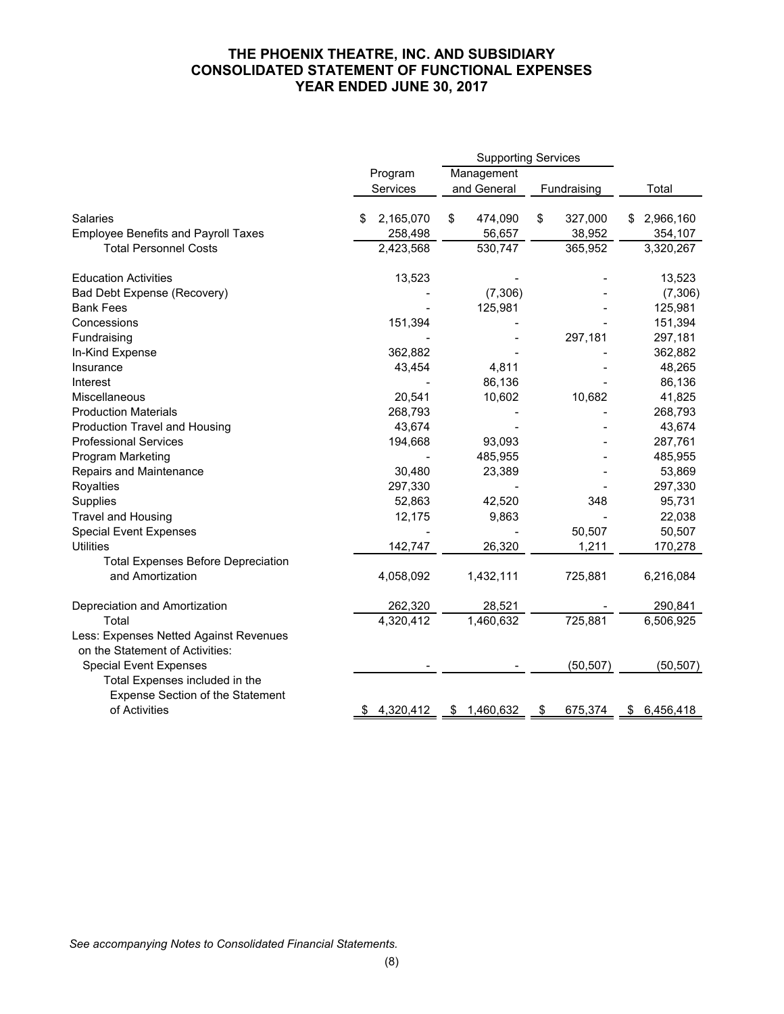## **THE PHOENIX THEATRE, INC. AND SUBSIDIARY CONSOLIDATED STATEMENT OF FUNCTIONAL EXPENSES YEAR ENDED JUNE 30, 2017**

|                                            |    |           | <b>Supporting Services</b> |               |                 |
|--------------------------------------------|----|-----------|----------------------------|---------------|-----------------|
|                                            |    | Program   | Management                 |               |                 |
|                                            |    | Services  | and General                | Fundraising   | Total           |
| Salaries                                   |    |           |                            | \$            |                 |
|                                            | S  | 2,165,070 | \$<br>474,090              | 327,000       | \$<br>2,966,160 |
| <b>Employee Benefits and Payroll Taxes</b> |    | 258,498   | 56,657                     | 38,952        | 354,107         |
| <b>Total Personnel Costs</b>               |    | 2,423,568 | 530,747                    | 365,952       | 3,320,267       |
| <b>Education Activities</b>                |    | 13,523    |                            |               | 13,523          |
| Bad Debt Expense (Recovery)                |    |           | (7,306)                    |               | (7,306)         |
| <b>Bank Fees</b>                           |    |           | 125,981                    |               | 125,981         |
| Concessions                                |    | 151,394   |                            |               | 151,394         |
| Fundraising                                |    |           |                            | 297,181       | 297,181         |
| In-Kind Expense                            |    | 362,882   |                            |               | 362,882         |
| Insurance                                  |    | 43,454    | 4,811                      |               | 48,265          |
| Interest                                   |    |           | 86,136                     |               | 86,136          |
| Miscellaneous                              |    | 20,541    | 10,602                     | 10,682        | 41,825          |
| <b>Production Materials</b>                |    | 268,793   |                            |               | 268,793         |
| Production Travel and Housing              |    | 43,674    |                            |               | 43,674          |
| <b>Professional Services</b>               |    | 194,668   | 93,093                     |               | 287,761         |
| Program Marketing                          |    |           | 485,955                    |               | 485,955         |
| Repairs and Maintenance                    |    | 30,480    | 23,389                     |               | 53,869          |
| Royalties                                  |    | 297,330   |                            |               | 297,330         |
| Supplies                                   |    | 52,863    | 42,520                     | 348           | 95,731          |
| <b>Travel and Housing</b>                  |    | 12,175    | 9,863                      |               | 22,038          |
| <b>Special Event Expenses</b>              |    |           |                            | 50,507        | 50,507          |
| <b>Utilities</b>                           |    | 142,747   | 26,320                     | 1,211         | 170,278         |
| <b>Total Expenses Before Depreciation</b>  |    |           |                            |               |                 |
| and Amortization                           |    | 4,058,092 | 1,432,111                  | 725,881       | 6,216,084       |
| Depreciation and Amortization              |    | 262,320   | 28,521                     |               | 290,841         |
| Total                                      |    | 4,320,412 | 1,460,632                  | 725,881       | 6,506,925       |
| Less: Expenses Netted Against Revenues     |    |           |                            |               |                 |
| on the Statement of Activities:            |    |           |                            |               |                 |
| <b>Special Event Expenses</b>              |    |           |                            | (50, 507)     | (50, 507)       |
| Total Expenses included in the             |    |           |                            |               |                 |
| Expense Section of the Statement           |    |           |                            |               |                 |
| of Activities                              | \$ | 4,320,412 | \$1,460,632                | \$<br>675,374 | \$<br>6,456,418 |
|                                            |    |           |                            |               |                 |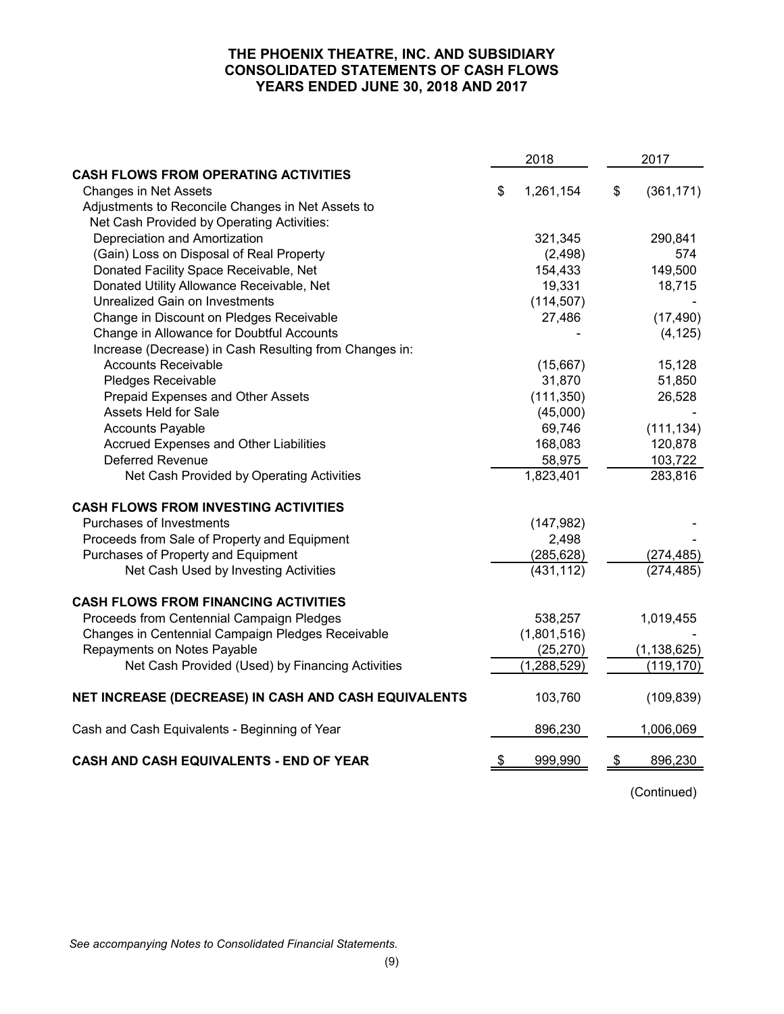## **THE PHOENIX THEATRE, INC. AND SUBSIDIARY CONSOLIDATED STATEMENTS OF CASH FLOWS YEARS ENDED JUNE 30, 2018 AND 2017**

|                                                        |           | 2018          | 2017          |               |  |
|--------------------------------------------------------|-----------|---------------|---------------|---------------|--|
| <b>CASH FLOWS FROM OPERATING ACTIVITIES</b>            |           |               |               |               |  |
| <b>Changes in Net Assets</b>                           | S         | 1,261,154     | \$            | (361, 171)    |  |
| Adjustments to Reconcile Changes in Net Assets to      |           |               |               |               |  |
| Net Cash Provided by Operating Activities:             |           |               |               |               |  |
| Depreciation and Amortization                          |           | 321,345       |               | 290,841       |  |
| (Gain) Loss on Disposal of Real Property               |           | (2, 498)      |               | 574           |  |
| Donated Facility Space Receivable, Net                 |           | 154,433       |               | 149,500       |  |
| Donated Utility Allowance Receivable, Net              |           | 19,331        |               | 18,715        |  |
| <b>Unrealized Gain on Investments</b>                  |           | (114, 507)    |               |               |  |
| Change in Discount on Pledges Receivable               |           | 27,486        |               | (17, 490)     |  |
| Change in Allowance for Doubtful Accounts              |           |               |               | (4, 125)      |  |
| Increase (Decrease) in Cash Resulting from Changes in: |           |               |               |               |  |
| <b>Accounts Receivable</b>                             |           | (15,667)      |               | 15,128        |  |
| <b>Pledges Receivable</b>                              |           | 31,870        |               | 51,850        |  |
| Prepaid Expenses and Other Assets                      |           | (111, 350)    |               | 26,528        |  |
| Assets Held for Sale                                   |           | (45,000)      |               |               |  |
| <b>Accounts Payable</b>                                |           | 69,746        |               | (111, 134)    |  |
| Accrued Expenses and Other Liabilities                 |           | 168,083       |               | 120,878       |  |
| Deferred Revenue                                       |           | 58,975        |               | 103,722       |  |
| Net Cash Provided by Operating Activities              |           | 1,823,401     |               | 283,816       |  |
| <b>CASH FLOWS FROM INVESTING ACTIVITIES</b>            |           |               |               |               |  |
| Purchases of Investments                               |           | (147, 982)    |               |               |  |
| Proceeds from Sale of Property and Equipment           |           | 2,498         |               |               |  |
| Purchases of Property and Equipment                    |           | (285, 628)    |               | (274, 485)    |  |
| Net Cash Used by Investing Activities                  |           | (431, 112)    |               | (274, 485)    |  |
| <b>CASH FLOWS FROM FINANCING ACTIVITIES</b>            |           |               |               |               |  |
| Proceeds from Centennial Campaign Pledges              |           | 538,257       |               | 1,019,455     |  |
| Changes in Centennial Campaign Pledges Receivable      |           | (1,801,516)   |               |               |  |
| Repayments on Notes Payable                            |           | (25, 270)     |               | (1, 138, 625) |  |
| Net Cash Provided (Used) by Financing Activities       |           | (1, 288, 529) |               | (119, 170)    |  |
| NET INCREASE (DECREASE) IN CASH AND CASH EQUIVALENTS   |           | 103,760       |               | (109, 839)    |  |
| Cash and Cash Equivalents - Beginning of Year          |           | 896,230       |               | 1,006,069     |  |
| CASH AND CASH EQUIVALENTS - END OF YEAR                | <u>\$</u> | 999,990       | $\frac{1}{2}$ | 896,230       |  |

(Continued)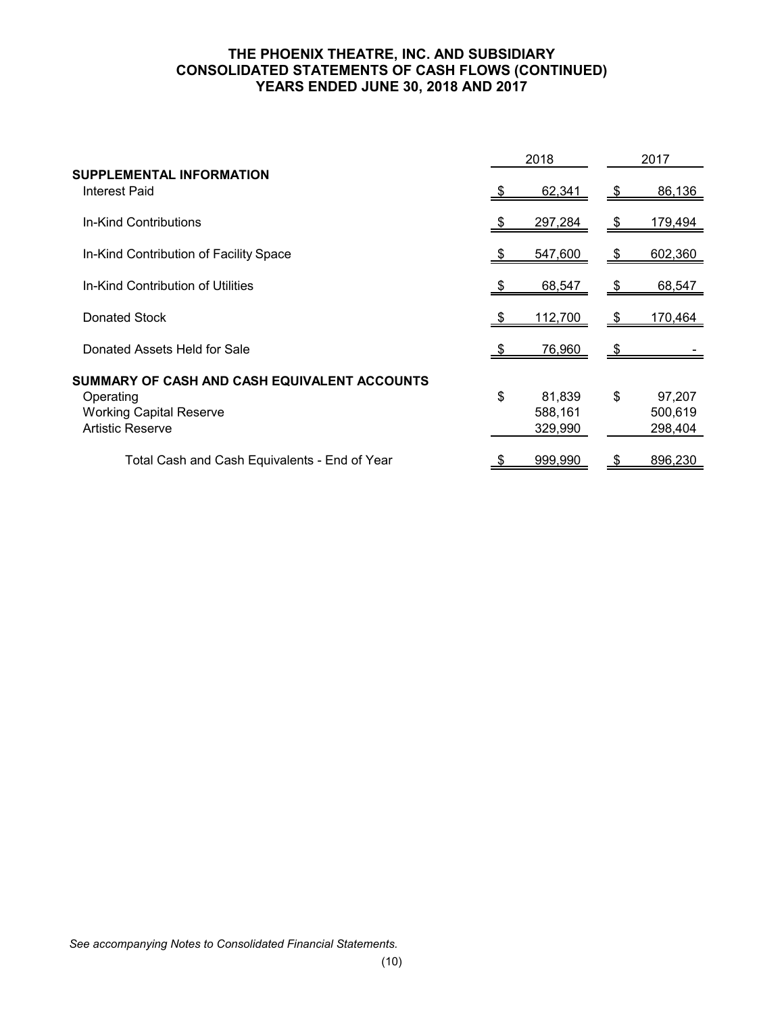## **THE PHOENIX THEATRE, INC. AND SUBSIDIARY CONSOLIDATED STATEMENTS OF CASH FLOWS (CONTINUED) YEARS ENDED JUNE 30, 2018 AND 2017**

|                                                  | 2018         |    | 2017    |  |  |
|--------------------------------------------------|--------------|----|---------|--|--|
| <b>SUPPLEMENTAL INFORMATION</b><br>Interest Paid | 62,341       | S. | 86,136  |  |  |
| In-Kind Contributions                            | 297,284      | \$ | 179,494 |  |  |
| In-Kind Contribution of Facility Space           | 547,600      | \$ | 602,360 |  |  |
| In-Kind Contribution of Utilities                | 68,547       | \$ | 68,547  |  |  |
| Donated Stock                                    | 112,700      | S  | 170,464 |  |  |
| Donated Assets Held for Sale                     | 76,960       | S. |         |  |  |
| SUMMARY OF CASH AND CASH EQUIVALENT ACCOUNTS     |              |    |         |  |  |
| Operating                                        | \$<br>81,839 | \$ | 97,207  |  |  |
| <b>Working Capital Reserve</b>                   | 588,161      |    | 500,619 |  |  |
| <b>Artistic Reserve</b>                          | 329,990      |    | 298,404 |  |  |
| Total Cash and Cash Equivalents - End of Year    | 999,990      |    | 896,230 |  |  |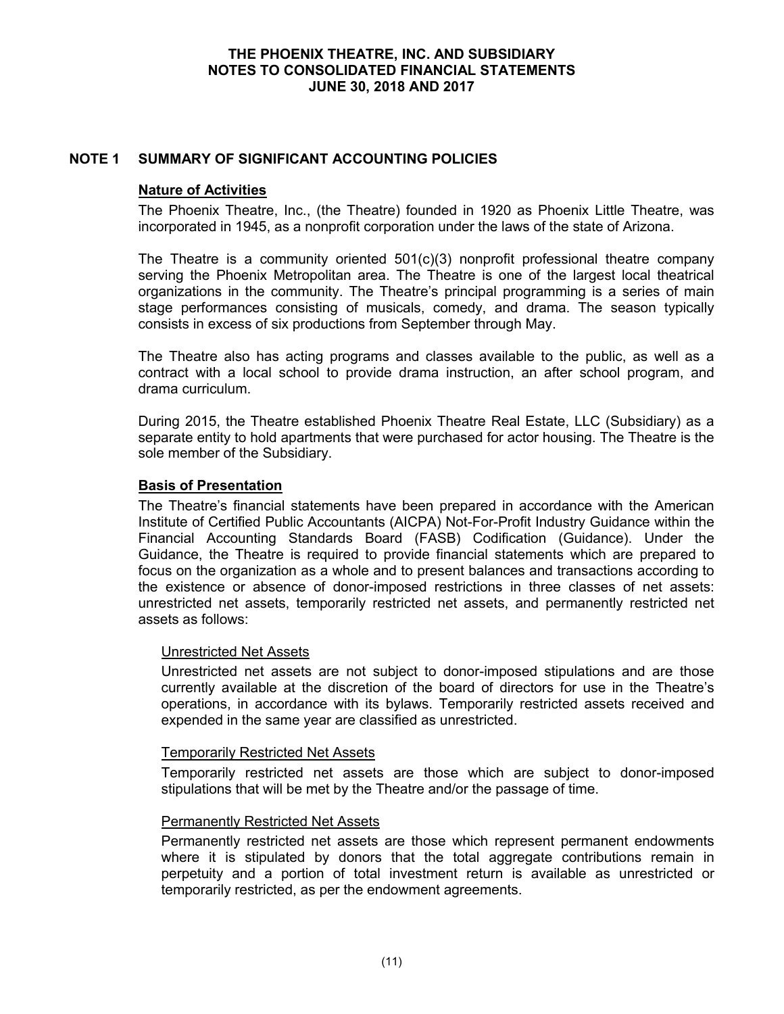## **NOTE 1 SUMMARY OF SIGNIFICANT ACCOUNTING POLICIES**

#### **Nature of Activities**

The Phoenix Theatre, Inc., (the Theatre) founded in 1920 as Phoenix Little Theatre, was incorporated in 1945, as a nonprofit corporation under the laws of the state of Arizona.

The Theatre is a community oriented 501(c)(3) nonprofit professional theatre company serving the Phoenix Metropolitan area. The Theatre is one of the largest local theatrical organizations in the community. The Theatre's principal programming is a series of main stage performances consisting of musicals, comedy, and drama. The season typically consists in excess of six productions from September through May.

The Theatre also has acting programs and classes available to the public, as well as a contract with a local school to provide drama instruction, an after school program, and drama curriculum.

During 2015, the Theatre established Phoenix Theatre Real Estate, LLC (Subsidiary) as a separate entity to hold apartments that were purchased for actor housing. The Theatre is the sole member of the Subsidiary.

#### **Basis of Presentation**

The Theatre's financial statements have been prepared in accordance with the American Institute of Certified Public Accountants (AICPA) Not-For-Profit Industry Guidance within the Financial Accounting Standards Board (FASB) Codification (Guidance). Under the Guidance, the Theatre is required to provide financial statements which are prepared to focus on the organization as a whole and to present balances and transactions according to the existence or absence of donor-imposed restrictions in three classes of net assets: unrestricted net assets, temporarily restricted net assets, and permanently restricted net assets as follows:

#### Unrestricted Net Assets

Unrestricted net assets are not subject to donor-imposed stipulations and are those currently available at the discretion of the board of directors for use in the Theatre's operations, in accordance with its bylaws. Temporarily restricted assets received and expended in the same year are classified as unrestricted.

#### Temporarily Restricted Net Assets

Temporarily restricted net assets are those which are subject to donor-imposed stipulations that will be met by the Theatre and/or the passage of time.

#### Permanently Restricted Net Assets

Permanently restricted net assets are those which represent permanent endowments where it is stipulated by donors that the total aggregate contributions remain in perpetuity and a portion of total investment return is available as unrestricted or temporarily restricted, as per the endowment agreements.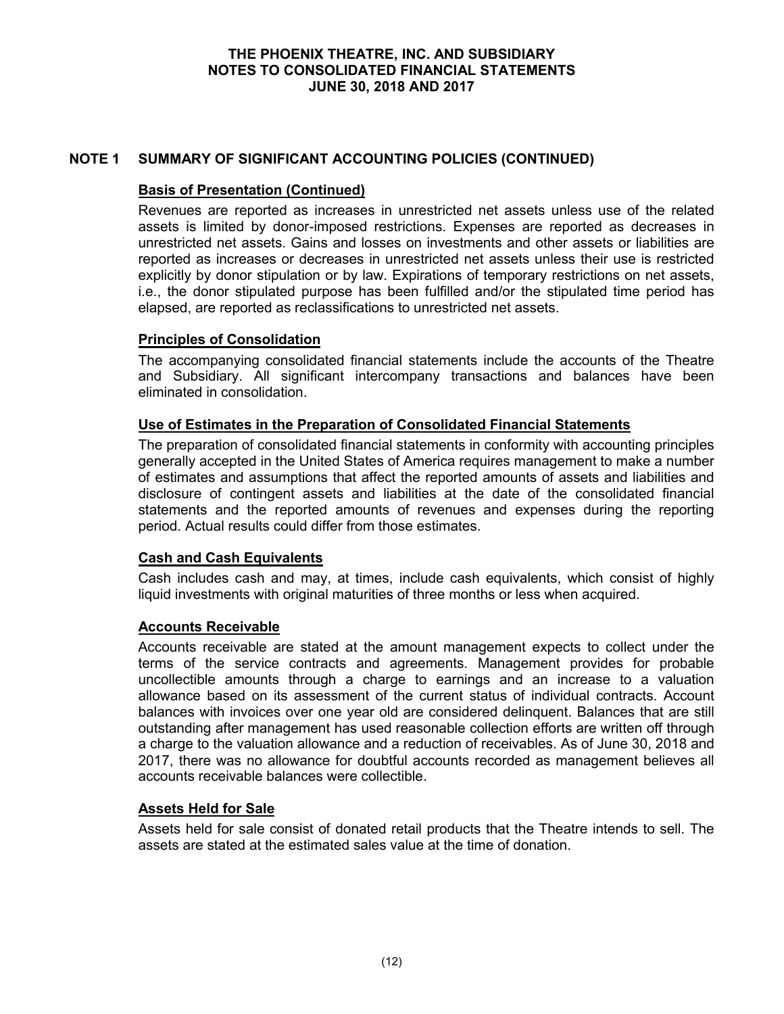## **NOTE 1 SUMMARY OF SIGNIFICANT ACCOUNTING POLICIES (CONTINUED)**

## **Basis of Presentation (Continued)**

Revenues are reported as increases in unrestricted net assets unless use of the related assets is limited by donor-imposed restrictions. Expenses are reported as decreases in unrestricted net assets. Gains and losses on investments and other assets or liabilities are reported as increases or decreases in unrestricted net assets unless their use is restricted explicitly by donor stipulation or by law. Expirations of temporary restrictions on net assets, i.e., the donor stipulated purpose has been fulfilled and/or the stipulated time period has elapsed, are reported as reclassifications to unrestricted net assets.

## **Principles of Consolidation**

The accompanying consolidated financial statements include the accounts of the Theatre and Subsidiary. All significant intercompany transactions and balances have been eliminated in consolidation.

## **Use of Estimates in the Preparation of Consolidated Financial Statements**

The preparation of consolidated financial statements in conformity with accounting principles generally accepted in the United States of America requires management to make a number of estimates and assumptions that affect the reported amounts of assets and liabilities and disclosure of contingent assets and liabilities at the date of the consolidated financial statements and the reported amounts of revenues and expenses during the reporting period. Actual results could differ from those estimates.

## **Cash and Cash Equivalents**

Cash includes cash and may, at times, include cash equivalents, which consist of highly liquid investments with original maturities of three months or less when acquired.

#### **Accounts Receivable**

Accounts receivable are stated at the amount management expects to collect under the terms of the service contracts and agreements. Management provides for probable uncollectible amounts through a charge to earnings and an increase to a valuation allowance based on its assessment of the current status of individual contracts. Account balances with invoices over one year old are considered delinquent. Balances that are still outstanding after management has used reasonable collection efforts are written off through a charge to the valuation allowance and a reduction of receivables. As of June 30, 2018 and 2017, there was no allowance for doubtful accounts recorded as management believes all accounts receivable balances were collectible.

#### **Assets Held for Sale**

Assets held for sale consist of donated retail products that the Theatre intends to sell. The assets are stated at the estimated sales value at the time of donation.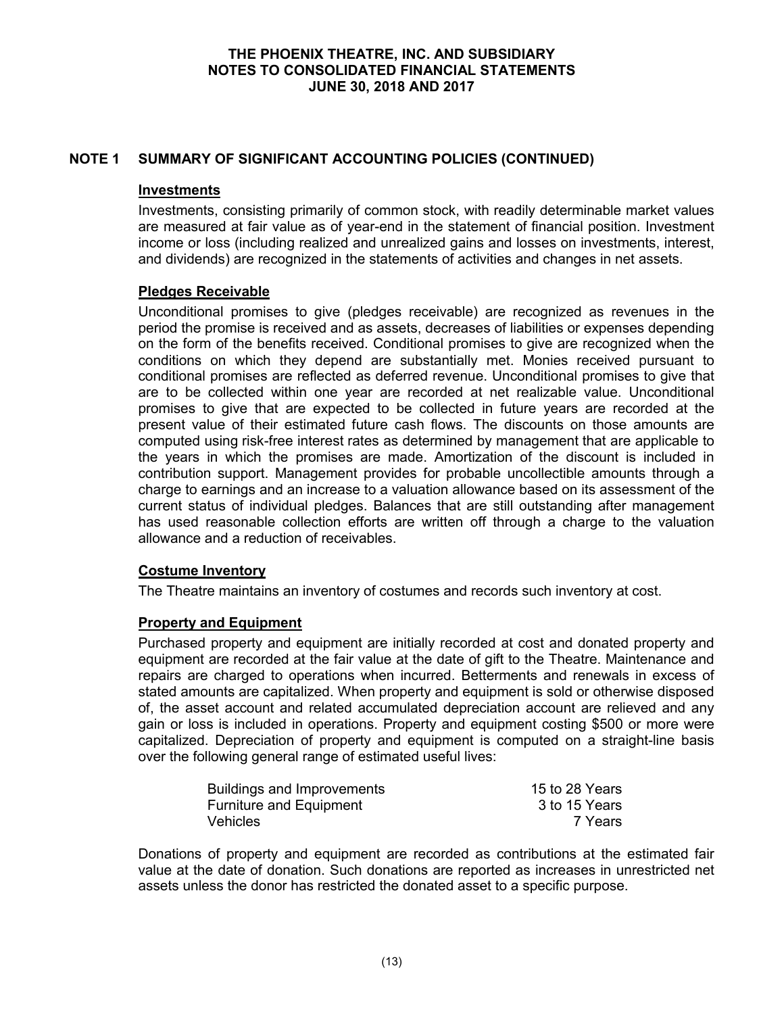# **NOTE 1 SUMMARY OF SIGNIFICANT ACCOUNTING POLICIES (CONTINUED)**

## **Investments**

Investments, consisting primarily of common stock, with readily determinable market values are measured at fair value as of year-end in the statement of financial position. Investment income or loss (including realized and unrealized gains and losses on investments, interest, and dividends) are recognized in the statements of activities and changes in net assets.

## **Pledges Receivable**

Unconditional promises to give (pledges receivable) are recognized as revenues in the period the promise is received and as assets, decreases of liabilities or expenses depending on the form of the benefits received. Conditional promises to give are recognized when the conditions on which they depend are substantially met. Monies received pursuant to conditional promises are reflected as deferred revenue. Unconditional promises to give that are to be collected within one year are recorded at net realizable value. Unconditional promises to give that are expected to be collected in future years are recorded at the present value of their estimated future cash flows. The discounts on those amounts are computed using risk-free interest rates as determined by management that are applicable to the years in which the promises are made. Amortization of the discount is included in contribution support. Management provides for probable uncollectible amounts through a charge to earnings and an increase to a valuation allowance based on its assessment of the current status of individual pledges. Balances that are still outstanding after management has used reasonable collection efforts are written off through a charge to the valuation allowance and a reduction of receivables.

## **Costume Inventory**

The Theatre maintains an inventory of costumes and records such inventory at cost.

## **Property and Equipment**

Purchased property and equipment are initially recorded at cost and donated property and equipment are recorded at the fair value at the date of gift to the Theatre. Maintenance and repairs are charged to operations when incurred. Betterments and renewals in excess of stated amounts are capitalized. When property and equipment is sold or otherwise disposed of, the asset account and related accumulated depreciation account are relieved and any gain or loss is included in operations. Property and equipment costing \$500 or more were capitalized. Depreciation of property and equipment is computed on a straight-line basis over the following general range of estimated useful lives:

| Buildings and Improvements | 15 to 28 Years |
|----------------------------|----------------|
| Furniture and Equipment    | 3 to 15 Years  |
| Vehicles                   | 7 Years        |

Donations of property and equipment are recorded as contributions at the estimated fair value at the date of donation. Such donations are reported as increases in unrestricted net assets unless the donor has restricted the donated asset to a specific purpose.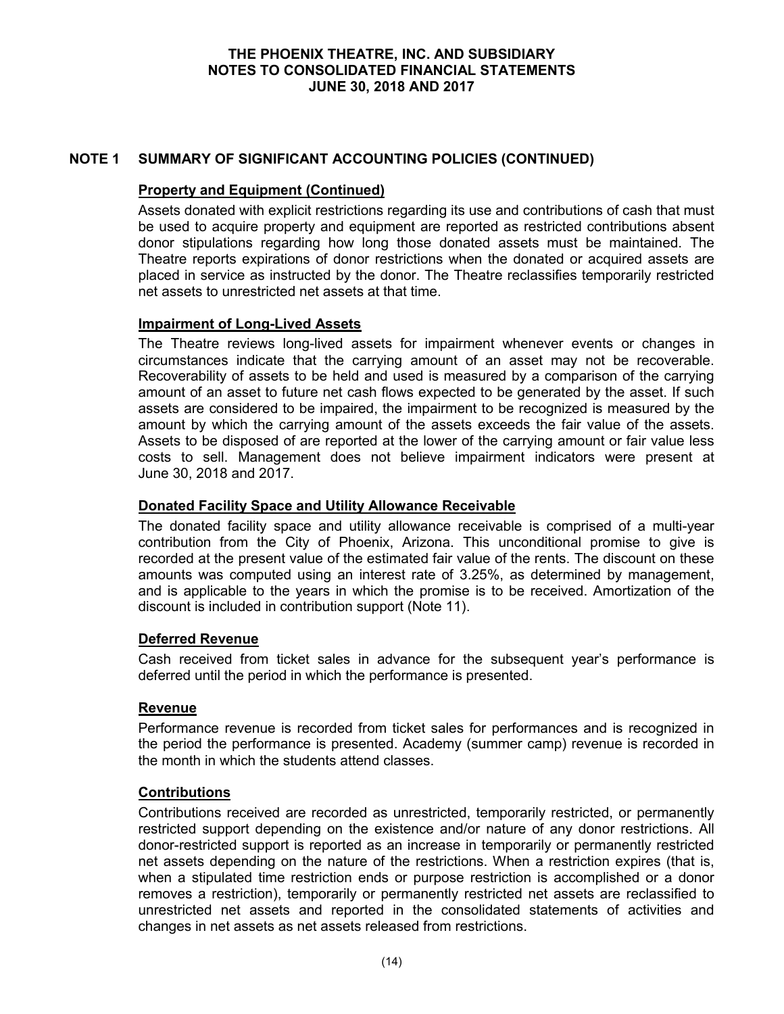## **NOTE 1 SUMMARY OF SIGNIFICANT ACCOUNTING POLICIES (CONTINUED)**

## **Property and Equipment (Continued)**

Assets donated with explicit restrictions regarding its use and contributions of cash that must be used to acquire property and equipment are reported as restricted contributions absent donor stipulations regarding how long those donated assets must be maintained. The Theatre reports expirations of donor restrictions when the donated or acquired assets are placed in service as instructed by the donor. The Theatre reclassifies temporarily restricted net assets to unrestricted net assets at that time.

## **Impairment of Long-Lived Assets**

The Theatre reviews long-lived assets for impairment whenever events or changes in circumstances indicate that the carrying amount of an asset may not be recoverable. Recoverability of assets to be held and used is measured by a comparison of the carrying amount of an asset to future net cash flows expected to be generated by the asset. If such assets are considered to be impaired, the impairment to be recognized is measured by the amount by which the carrying amount of the assets exceeds the fair value of the assets. Assets to be disposed of are reported at the lower of the carrying amount or fair value less costs to sell. Management does not believe impairment indicators were present at June 30, 2018 and 2017.

## **Donated Facility Space and Utility Allowance Receivable**

The donated facility space and utility allowance receivable is comprised of a multi-year contribution from the City of Phoenix, Arizona. This unconditional promise to give is recorded at the present value of the estimated fair value of the rents. The discount on these amounts was computed using an interest rate of 3.25%, as determined by management, and is applicable to the years in which the promise is to be received. Amortization of the discount is included in contribution support (Note 11).

## **Deferred Revenue**

Cash received from ticket sales in advance for the subsequent year's performance is deferred until the period in which the performance is presented.

## **Revenue**

Performance revenue is recorded from ticket sales for performances and is recognized in the period the performance is presented. Academy (summer camp) revenue is recorded in the month in which the students attend classes.

## **Contributions**

Contributions received are recorded as unrestricted, temporarily restricted, or permanently restricted support depending on the existence and/or nature of any donor restrictions. All donor-restricted support is reported as an increase in temporarily or permanently restricted net assets depending on the nature of the restrictions. When a restriction expires (that is, when a stipulated time restriction ends or purpose restriction is accomplished or a donor removes a restriction), temporarily or permanently restricted net assets are reclassified to unrestricted net assets and reported in the consolidated statements of activities and changes in net assets as net assets released from restrictions.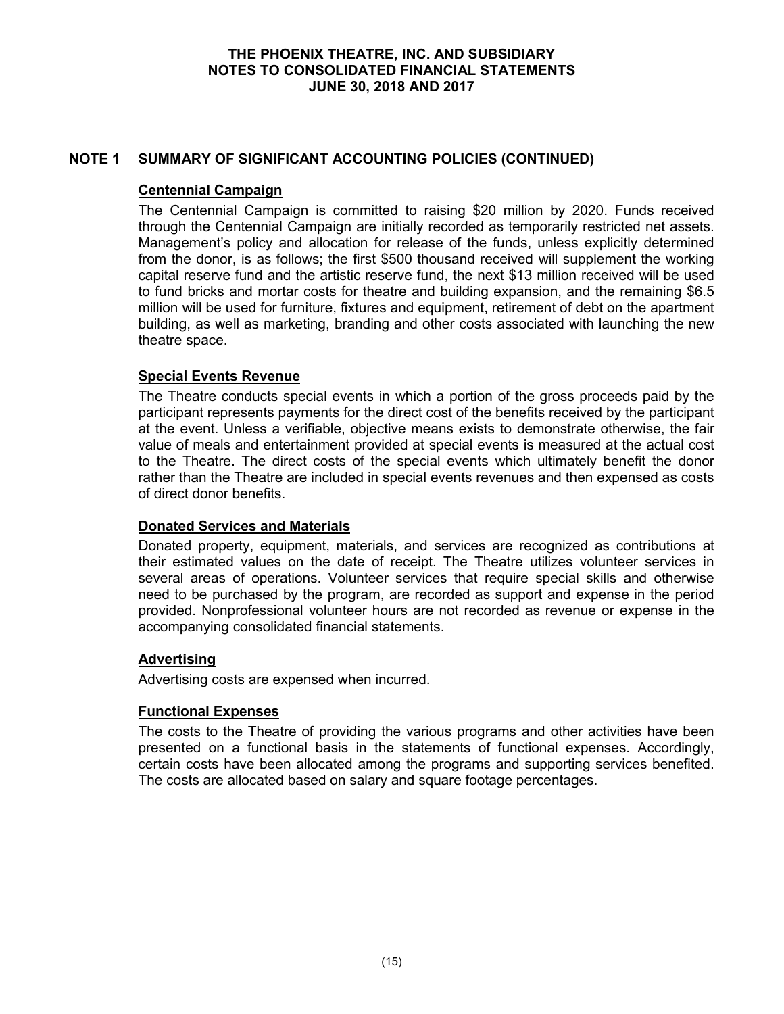## **NOTE 1 SUMMARY OF SIGNIFICANT ACCOUNTING POLICIES (CONTINUED)**

## **Centennial Campaign**

The Centennial Campaign is committed to raising \$20 million by 2020. Funds received through the Centennial Campaign are initially recorded as temporarily restricted net assets. Management's policy and allocation for release of the funds, unless explicitly determined from the donor, is as follows; the first \$500 thousand received will supplement the working capital reserve fund and the artistic reserve fund, the next \$13 million received will be used to fund bricks and mortar costs for theatre and building expansion, and the remaining \$6.5 million will be used for furniture, fixtures and equipment, retirement of debt on the apartment building, as well as marketing, branding and other costs associated with launching the new theatre space.

## **Special Events Revenue**

The Theatre conducts special events in which a portion of the gross proceeds paid by the participant represents payments for the direct cost of the benefits received by the participant at the event. Unless a verifiable, objective means exists to demonstrate otherwise, the fair value of meals and entertainment provided at special events is measured at the actual cost to the Theatre. The direct costs of the special events which ultimately benefit the donor rather than the Theatre are included in special events revenues and then expensed as costs of direct donor benefits.

## **Donated Services and Materials**

Donated property, equipment, materials, and services are recognized as contributions at their estimated values on the date of receipt. The Theatre utilizes volunteer services in several areas of operations. Volunteer services that require special skills and otherwise need to be purchased by the program, are recorded as support and expense in the period provided. Nonprofessional volunteer hours are not recorded as revenue or expense in the accompanying consolidated financial statements.

## **Advertising**

Advertising costs are expensed when incurred.

## **Functional Expenses**

The costs to the Theatre of providing the various programs and other activities have been presented on a functional basis in the statements of functional expenses. Accordingly, certain costs have been allocated among the programs and supporting services benefited. The costs are allocated based on salary and square footage percentages.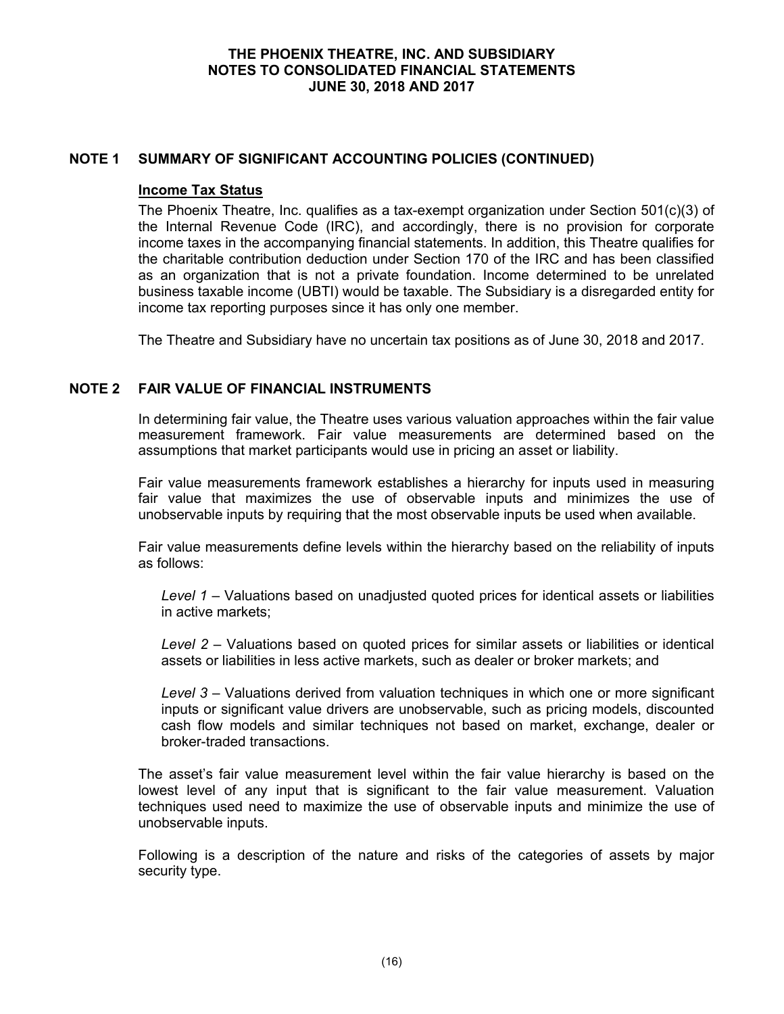## **NOTE 1 SUMMARY OF SIGNIFICANT ACCOUNTING POLICIES (CONTINUED)**

#### **Income Tax Status**

The Phoenix Theatre, Inc. qualifies as a tax-exempt organization under Section 501(c)(3) of the Internal Revenue Code (IRC), and accordingly, there is no provision for corporate income taxes in the accompanying financial statements. In addition, this Theatre qualifies for the charitable contribution deduction under Section 170 of the IRC and has been classified as an organization that is not a private foundation. Income determined to be unrelated business taxable income (UBTI) would be taxable. The Subsidiary is a disregarded entity for income tax reporting purposes since it has only one member.

The Theatre and Subsidiary have no uncertain tax positions as of June 30, 2018 and 2017.

## **NOTE 2 FAIR VALUE OF FINANCIAL INSTRUMENTS**

In determining fair value, the Theatre uses various valuation approaches within the fair value measurement framework. Fair value measurements are determined based on the assumptions that market participants would use in pricing an asset or liability.

Fair value measurements framework establishes a hierarchy for inputs used in measuring fair value that maximizes the use of observable inputs and minimizes the use of unobservable inputs by requiring that the most observable inputs be used when available.

Fair value measurements define levels within the hierarchy based on the reliability of inputs as follows:

*Level 1 –* Valuations based on unadjusted quoted prices for identical assets or liabilities in active markets;

*Level 2 –* Valuations based on quoted prices for similar assets or liabilities or identical assets or liabilities in less active markets, such as dealer or broker markets; and

*Level 3 –* Valuations derived from valuation techniques in which one or more significant inputs or significant value drivers are unobservable, such as pricing models, discounted cash flow models and similar techniques not based on market, exchange, dealer or broker-traded transactions.

The asset's fair value measurement level within the fair value hierarchy is based on the lowest level of any input that is significant to the fair value measurement. Valuation techniques used need to maximize the use of observable inputs and minimize the use of unobservable inputs.

Following is a description of the nature and risks of the categories of assets by major security type.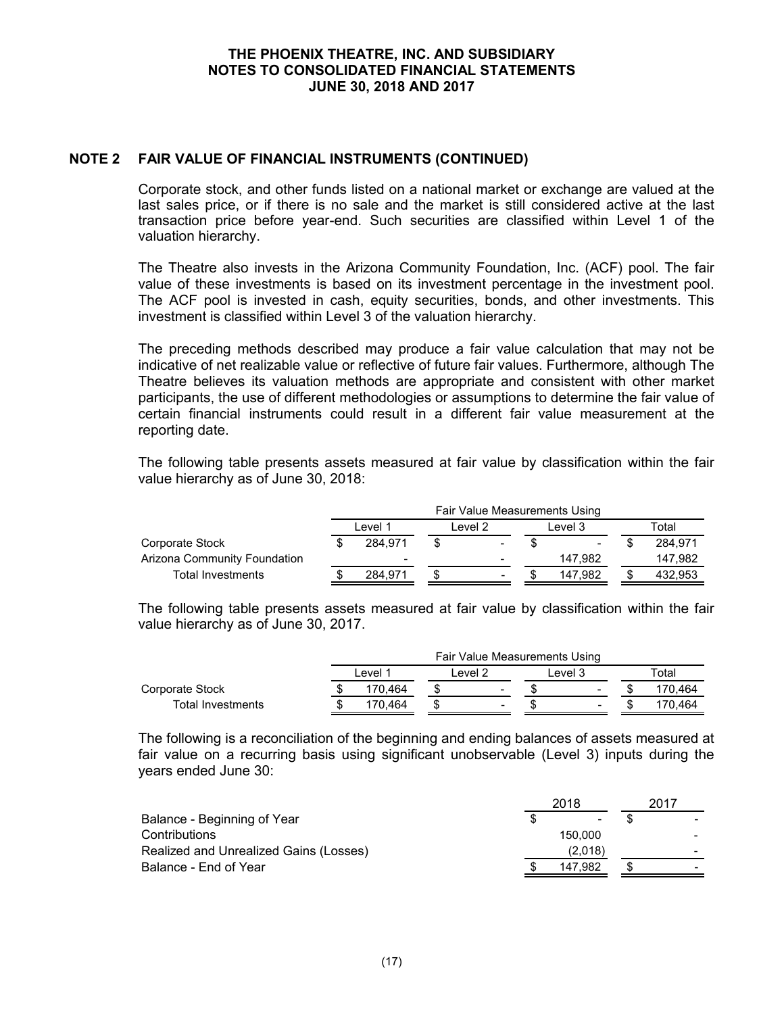#### **NOTE 2 FAIR VALUE OF FINANCIAL INSTRUMENTS (CONTINUED)**

Corporate stock, and other funds listed on a national market or exchange are valued at the last sales price, or if there is no sale and the market is still considered active at the last transaction price before year-end. Such securities are classified within Level 1 of the valuation hierarchy.

The Theatre also invests in the Arizona Community Foundation, Inc. (ACF) pool. The fair value of these investments is based on its investment percentage in the investment pool. The ACF pool is invested in cash, equity securities, bonds, and other investments. This investment is classified within Level 3 of the valuation hierarchy.

The preceding methods described may produce a fair value calculation that may not be indicative of net realizable value or reflective of future fair values. Furthermore, although The Theatre believes its valuation methods are appropriate and consistent with other market participants, the use of different methodologies or assumptions to determine the fair value of certain financial instruments could result in a different fair value measurement at the reporting date.

The following table presents assets measured at fair value by classification within the fair value hierarchy as of June 30, 2018:

|                              | Fair Value Measurements Using |  |                          |  |                          |  |         |  |  |  |  |
|------------------------------|-------------------------------|--|--------------------------|--|--------------------------|--|---------|--|--|--|--|
|                              | Level 1<br>Level 2            |  |                          |  | Level 3                  |  | Total   |  |  |  |  |
| Corporate Stock              | 284.971                       |  |                          |  | $\overline{\phantom{a}}$ |  | 284.971 |  |  |  |  |
| Arizona Community Foundation | -                             |  |                          |  | 147.982                  |  | 147.982 |  |  |  |  |
| Total Investments            | 284.971                       |  | $\overline{\phantom{0}}$ |  | 147.982                  |  | 432.953 |  |  |  |  |

The following table presents assets measured at fair value by classification within the fair value hierarchy as of June 30, 2017.

|                   |         |         | Fair Value Measurements Using |         |                          |         |
|-------------------|---------|---------|-------------------------------|---------|--------------------------|---------|
|                   | ∟evel 1 | ∟evel 2 |                               | Level 3 |                          | ™otal   |
| Corporate Stock   | 170.464 |         | -                             |         | $\overline{\phantom{a}}$ | 170.464 |
| Total Investments | 170.464 |         | $\overline{\phantom{0}}$      |         | $\overline{\phantom{a}}$ | 70.464  |

The following is a reconciliation of the beginning and ending balances of assets measured at fair value on a recurring basis using significant unobservable (Level 3) inputs during the years ended June 30:

|                                        | 2018    | 2017 |
|----------------------------------------|---------|------|
| Balance - Beginning of Year            |         |      |
| Contributions                          | 150,000 |      |
| Realized and Unrealized Gains (Losses) | (2,018) | -    |
| Balance - End of Year                  | 147.982 | -    |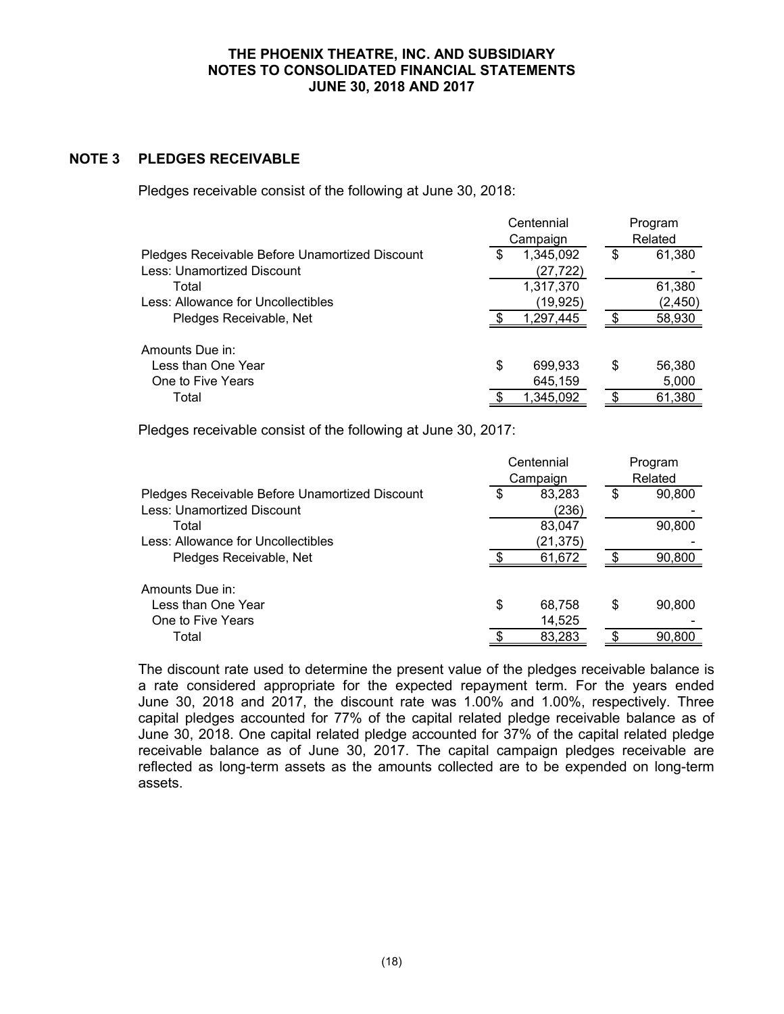## **NOTE 3 PLEDGES RECEIVABLE**

Pledges receivable consist of the following at June 30, 2018:

|                                                                              | Centennial<br>Campaign       |   | Program<br>Related |
|------------------------------------------------------------------------------|------------------------------|---|--------------------|
| Pledges Receivable Before Unamortized Discount<br>Less: Unamortized Discount | \$<br>1,345,092<br>(27, 722) | S | 61,380             |
| Total                                                                        | 1,317,370                    |   | 61,380             |
| Less: Allowance for Uncollectibles                                           | (19, 925)                    |   | (2, 450)           |
| Pledges Receivable, Net                                                      | 1,297,445                    |   | 58,930             |
| Amounts Due in:                                                              |                              |   |                    |
| Less than One Year                                                           | \$<br>699,933                | S | 56,380             |
| One to Five Years                                                            | 645,159                      |   | 5,000              |
| Total                                                                        | 1,345,092                    |   | 61,380             |

Pledges receivable consist of the following at June 30, 2017:

|                                                | Centennial<br>Campaign |   | Program<br>Related |
|------------------------------------------------|------------------------|---|--------------------|
| Pledges Receivable Before Unamortized Discount | \$<br>83,283           | S | 90,800             |
| Less: Unamortized Discount                     | (236)                  |   |                    |
| Total                                          | 83,047                 |   | 90,800             |
| Less: Allowance for Uncollectibles             | (21,375)               |   |                    |
| Pledges Receivable, Net                        | 61,672                 |   | 90,800             |
| Amounts Due in:<br>Less than One Year          | \$<br>68,758           | S | 90,800             |
| One to Five Years                              | 14,525                 |   |                    |
| Total                                          | 83,283                 |   | 90.800             |

The discount rate used to determine the present value of the pledges receivable balance is a rate considered appropriate for the expected repayment term. For the years ended June 30, 2018 and 2017, the discount rate was 1.00% and 1.00%, respectively. Three capital pledges accounted for 77% of the capital related pledge receivable balance as of June 30, 2018. One capital related pledge accounted for 37% of the capital related pledge receivable balance as of June 30, 2017. The capital campaign pledges receivable are reflected as long-term assets as the amounts collected are to be expended on long-term assets.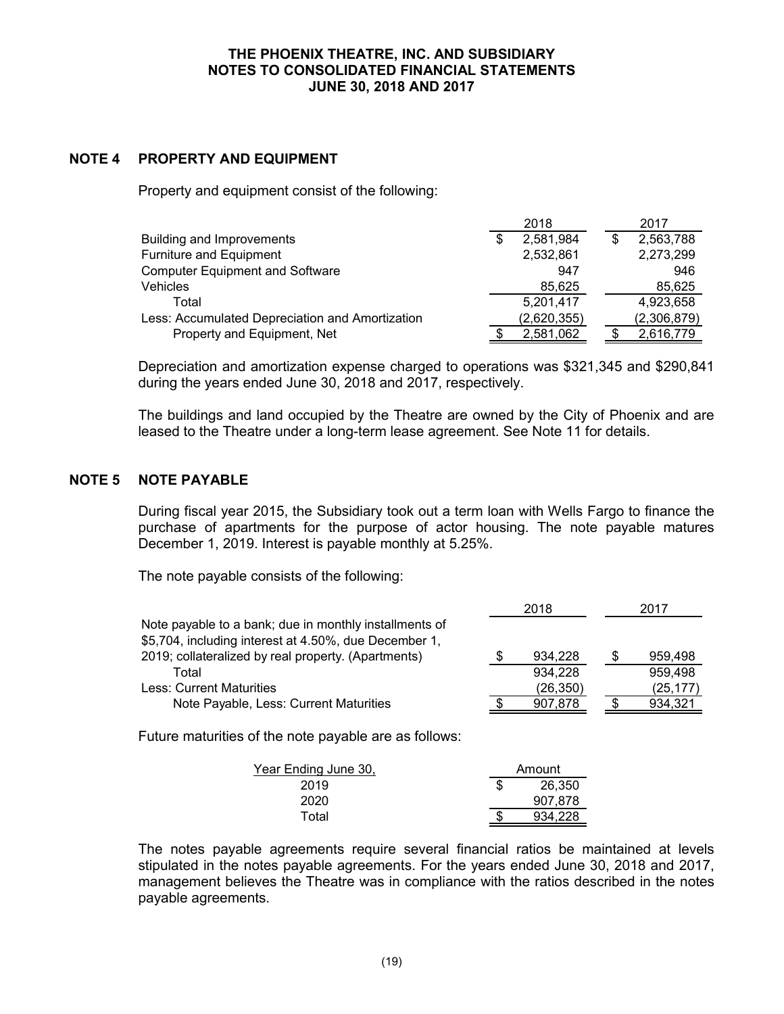## **NOTE 4 PROPERTY AND EQUIPMENT**

Property and equipment consist of the following:

|                                                 | 2018            | 2017        |
|-------------------------------------------------|-----------------|-------------|
| Building and Improvements                       | \$<br>2,581,984 | 2,563,788   |
| Furniture and Equipment                         | 2,532,861       | 2,273,299   |
| <b>Computer Equipment and Software</b>          | 947             | 946         |
| <b>Vehicles</b>                                 | 85,625          | 85,625      |
| Total                                           | 5,201,417       | 4,923,658   |
| Less: Accumulated Depreciation and Amortization | (2,620,355)     | (2,306,879) |
| Property and Equipment, Net                     | 2,581,062       | 2,616,779   |

Depreciation and amortization expense charged to operations was \$321,345 and \$290,841 during the years ended June 30, 2018 and 2017, respectively.

The buildings and land occupied by the Theatre are owned by the City of Phoenix and are leased to the Theatre under a long-term lease agreement. See Note 11 for details.

# **NOTE 5 NOTE PAYABLE**

During fiscal year 2015, the Subsidiary took out a term loan with Wells Fargo to finance the purchase of apartments for the purpose of actor housing. The note payable matures December 1, 2019. Interest is payable monthly at 5.25%.

The note payable consists of the following:

|                                                        | 2018      | 2017      |
|--------------------------------------------------------|-----------|-----------|
| Note payable to a bank; due in monthly installments of |           |           |
| \$5,704, including interest at 4.50%, due December 1,  |           |           |
| 2019; collateralized by real property. (Apartments)    | 934.228   | 959.498   |
| Total                                                  | 934.228   | 959,498   |
| <b>Less: Current Maturities</b>                        | (26, 350) | (25, 177) |
| Note Payable, Less: Current Maturities                 | 907,878   | 934.321   |

Future maturities of the note payable are as follows:

| Year Ending June 30, |   | Amount  |
|----------------------|---|---------|
| 2019                 | S | 26,350  |
| 2020                 |   | 907.878 |
| Total                |   | 934.228 |

The notes payable agreements require several financial ratios be maintained at levels stipulated in the notes payable agreements. For the years ended June 30, 2018 and 2017, management believes the Theatre was in compliance with the ratios described in the notes payable agreements.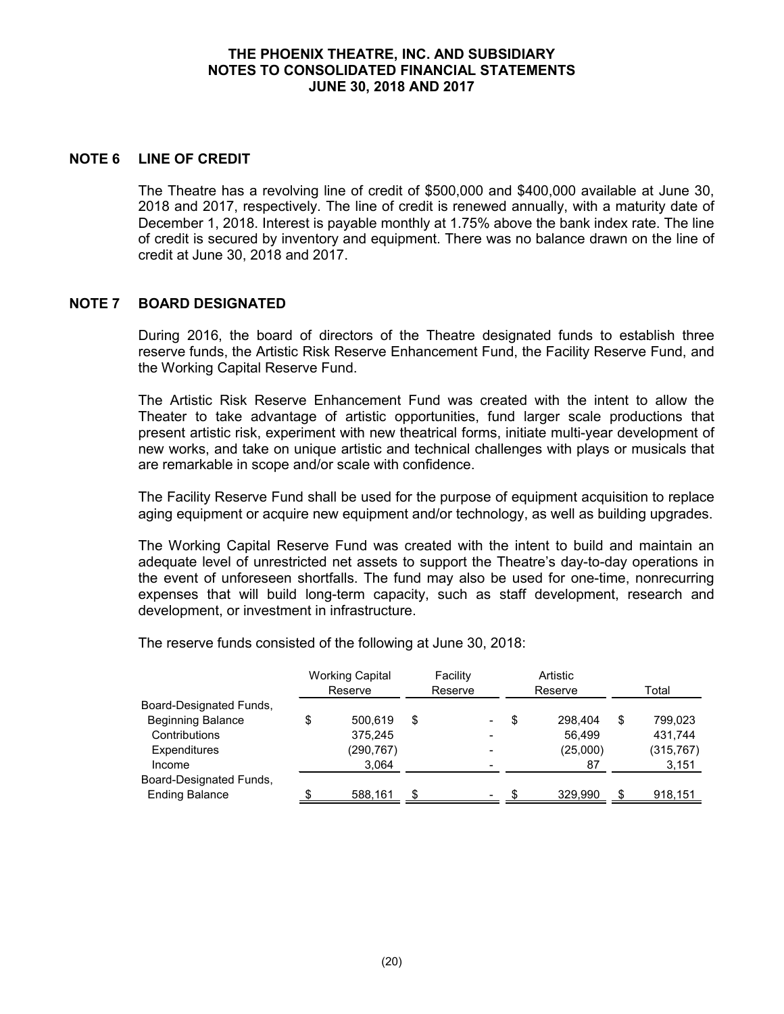#### **NOTE 6 LINE OF CREDIT**

The Theatre has a revolving line of credit of \$500,000 and \$400,000 available at June 30, 2018 and 2017, respectively. The line of credit is renewed annually, with a maturity date of December 1, 2018. Interest is payable monthly at 1.75% above the bank index rate. The line of credit is secured by inventory and equipment. There was no balance drawn on the line of credit at June 30, 2018 and 2017.

## **NOTE 7 BOARD DESIGNATED**

During 2016, the board of directors of the Theatre designated funds to establish three reserve funds, the Artistic Risk Reserve Enhancement Fund, the Facility Reserve Fund, and the Working Capital Reserve Fund.

The Artistic Risk Reserve Enhancement Fund was created with the intent to allow the Theater to take advantage of artistic opportunities, fund larger scale productions that present artistic risk, experiment with new theatrical forms, initiate multi-year development of new works, and take on unique artistic and technical challenges with plays or musicals that are remarkable in scope and/or scale with confidence.

The Facility Reserve Fund shall be used for the purpose of equipment acquisition to replace aging equipment or acquire new equipment and/or technology, as well as building upgrades.

The Working Capital Reserve Fund was created with the intent to build and maintain an adequate level of unrestricted net assets to support the Theatre's day-to-day operations in the event of unforeseen shortfalls. The fund may also be used for one-time, nonrecurring expenses that will build long-term capacity, such as staff development, research and development, or investment in infrastructure.

The reserve funds consisted of the following at June 30, 2018:

|                          | <b>Working Capital</b><br>Reserve | Facility<br>Reserve | Artistic<br>Reserve | Total         |
|--------------------------|-----------------------------------|---------------------|---------------------|---------------|
| Board-Designated Funds,  |                                   |                     |                     |               |
| <b>Beginning Balance</b> | \$<br>500.619                     | \$                  | \$<br>298.404       | \$<br>799,023 |
| Contributions            | 375.245                           |                     | 56.499              | 431.744       |
| Expenditures             | (290, 767)                        |                     | (25,000)            | (315, 767)    |
| Income                   | 3,064                             |                     | 87                  | 3,151         |
| Board-Designated Funds,  |                                   |                     |                     |               |
| <b>Ending Balance</b>    | 588,161                           |                     | 329,990             | \$<br>918,151 |
|                          |                                   |                     |                     |               |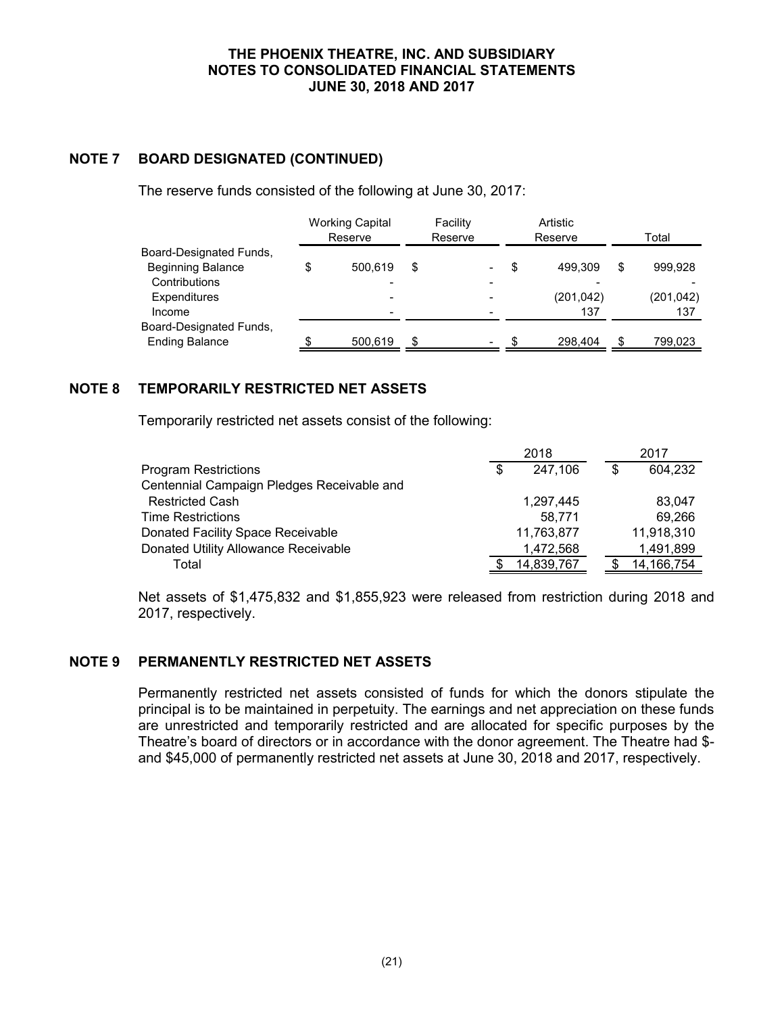# **NOTE 7 BOARD DESIGNATED (CONTINUED)**

The reserve funds consisted of the following at June 30, 2017:

|                          | <b>Working Capital</b><br>Reserve | Facility<br>Reserve |   | Artistic<br>Reserve | Total         |
|--------------------------|-----------------------------------|---------------------|---|---------------------|---------------|
| Board-Designated Funds,  |                                   |                     |   |                     |               |
| <b>Beginning Balance</b> | \$<br>500.619                     | \$                  | S | 499.309             | \$<br>999.928 |
| Contributions            |                                   |                     |   |                     |               |
| <b>Expenditures</b>      | -                                 |                     |   | (201, 042)          | (201,042)     |
| Income                   |                                   |                     |   | 137                 | 137           |
| Board-Designated Funds,  |                                   |                     |   |                     |               |
| <b>Ending Balance</b>    | 500,619                           | \$                  |   | 298.404             | \$<br>799,023 |

# **NOTE 8 TEMPORARILY RESTRICTED NET ASSETS**

Temporarily restricted net assets consist of the following:

|                                            |   | 2018       | 2017          |
|--------------------------------------------|---|------------|---------------|
| <b>Program Restrictions</b>                | S | 247,106    | \$<br>604,232 |
| Centennial Campaign Pledges Receivable and |   |            |               |
| <b>Restricted Cash</b>                     |   | 1,297,445  | 83.047        |
| <b>Time Restrictions</b>                   |   | 58.771     | 69,266        |
| Donated Facility Space Receivable          |   | 11,763,877 | 11,918,310    |
| Donated Utility Allowance Receivable       |   | 1,472,568  | 1,491,899     |
| Total                                      |   | 14,839,767 | 14,166,754    |

Net assets of \$1,475,832 and \$1,855,923 were released from restriction during 2018 and 2017, respectively.

## **NOTE 9 PERMANENTLY RESTRICTED NET ASSETS**

Permanently restricted net assets consisted of funds for which the donors stipulate the principal is to be maintained in perpetuity. The earnings and net appreciation on these funds are unrestricted and temporarily restricted and are allocated for specific purposes by the Theatre's board of directors or in accordance with the donor agreement. The Theatre had \$ and \$45,000 of permanently restricted net assets at June 30, 2018 and 2017, respectively.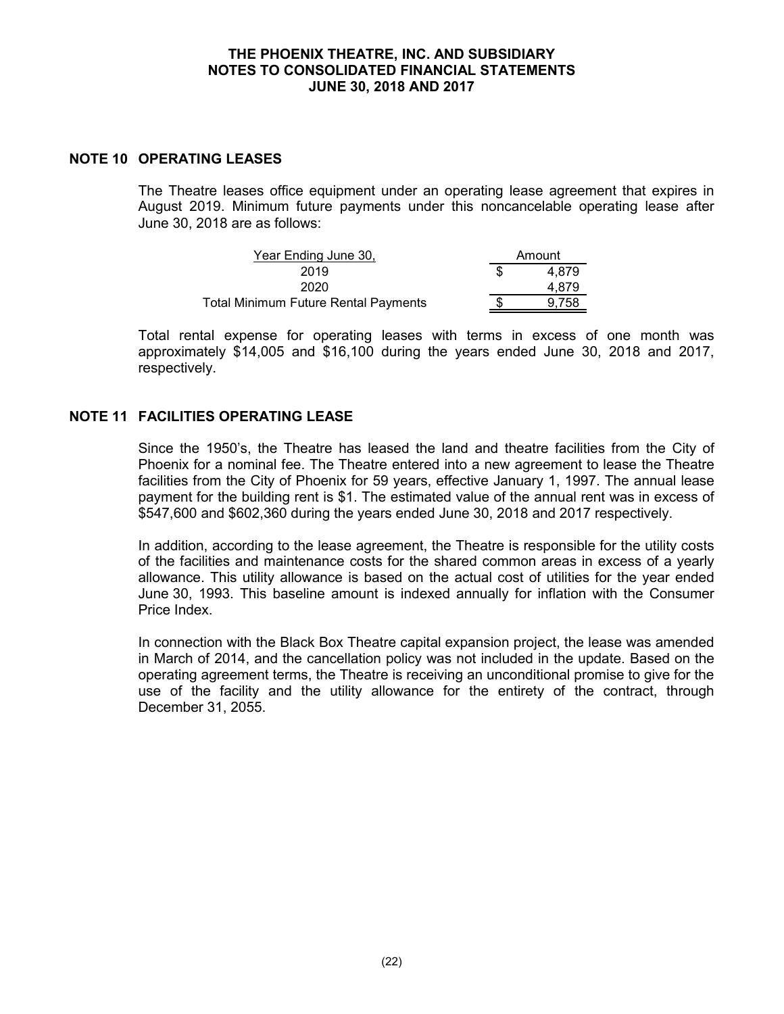## **NOTE 10 OPERATING LEASES**

The Theatre leases office equipment under an operating lease agreement that expires in August 2019. Minimum future payments under this noncancelable operating lease after June 30, 2018 are as follows:

| Year Ending June 30,                        | Amount |
|---------------------------------------------|--------|
| 2019                                        | 4.879  |
| 2020                                        | 4.879  |
| <b>Total Minimum Future Rental Payments</b> | 9.758  |

Total rental expense for operating leases with terms in excess of one month was approximately \$14,005 and \$16,100 during the years ended June 30, 2018 and 2017, respectively.

# **NOTE 11 FACILITIES OPERATING LEASE**

Since the 1950's, the Theatre has leased the land and theatre facilities from the City of Phoenix for a nominal fee. The Theatre entered into a new agreement to lease the Theatre facilities from the City of Phoenix for 59 years, effective January 1, 1997. The annual lease payment for the building rent is \$1. The estimated value of the annual rent was in excess of \$547,600 and \$602,360 during the years ended June 30, 2018 and 2017 respectively.

In addition, according to the lease agreement, the Theatre is responsible for the utility costs of the facilities and maintenance costs for the shared common areas in excess of a yearly allowance. This utility allowance is based on the actual cost of utilities for the year ended June 30, 1993. This baseline amount is indexed annually for inflation with the Consumer Price Index.

In connection with the Black Box Theatre capital expansion project, the lease was amended in March of 2014, and the cancellation policy was not included in the update. Based on the operating agreement terms, the Theatre is receiving an unconditional promise to give for the use of the facility and the utility allowance for the entirety of the contract, through December 31, 2055.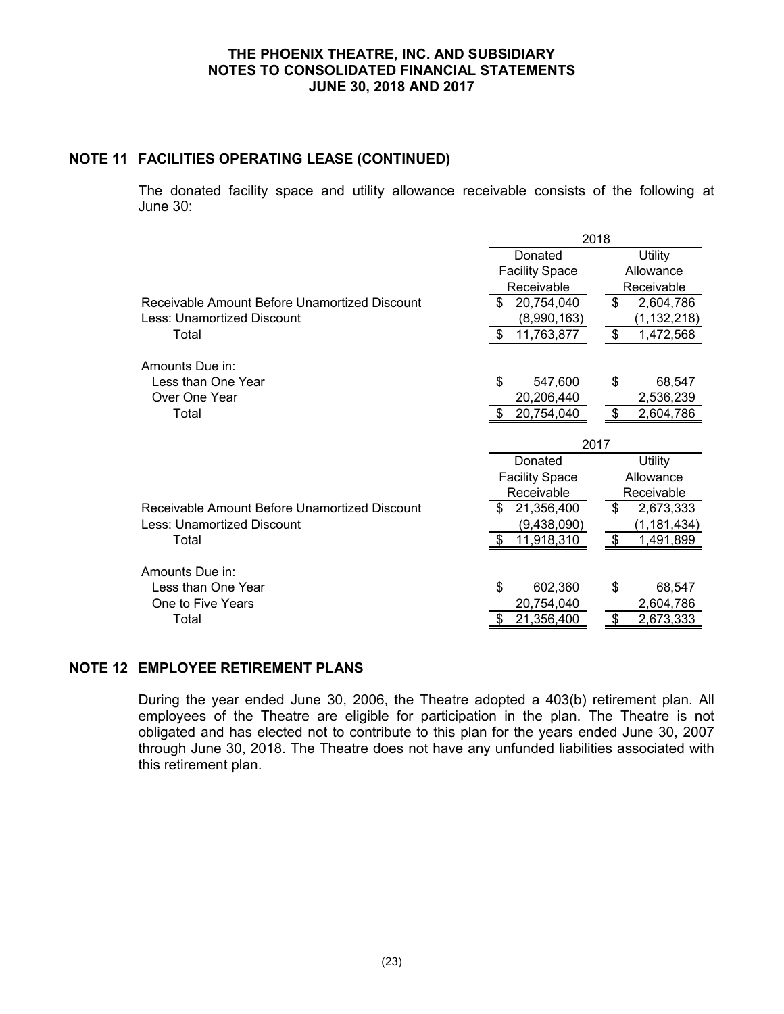## **NOTE 11 FACILITIES OPERATING LEASE (CONTINUED)**

The donated facility space and utility allowance receivable consists of the following at June 30:

|                                               | 2018                        |                   |  |  |
|-----------------------------------------------|-----------------------------|-------------------|--|--|
|                                               | Donated                     | <b>Utility</b>    |  |  |
|                                               | <b>Facility Space</b>       | Allowance         |  |  |
|                                               | Receivable                  | Receivable        |  |  |
| Receivable Amount Before Unamortized Discount | 20,754,040<br>\$            | 2,604,786<br>\$   |  |  |
| <b>Less: Unamortized Discount</b>             | (8,990,163)                 | (1,132,218)       |  |  |
| Total                                         | 11,763,877                  | 1,472,568<br>-\$  |  |  |
| Amounts Due in:                               |                             |                   |  |  |
| Less than One Year                            | \$<br>547,600               | \$<br>68,547      |  |  |
| Over One Year                                 | 20,206,440                  | 2,536,239         |  |  |
| Total                                         | 20,754,040<br>$\sqrt[6]{3}$ | 2,604,786<br>- \$ |  |  |
|                                               | 2017                        |                   |  |  |
|                                               | Donated                     | Utility           |  |  |
|                                               | <b>Facility Space</b>       | Allowance         |  |  |
|                                               | Receivable                  | Receivable        |  |  |
| Receivable Amount Before Unamortized Discount | 21,356,400<br>\$            | \$<br>2,673,333   |  |  |
| Less: Unamortized Discount                    | (9,438,090)                 | (1,181,434)       |  |  |
| Total                                         | 11,918,310                  | 1,491,899<br>\$   |  |  |
|                                               |                             |                   |  |  |
| Amounts Due in:                               |                             |                   |  |  |
| Less than One Year                            | \$<br>602,360               | \$<br>68,547      |  |  |
| One to Five Years                             | 20,754,040                  | 2,604,786         |  |  |

# **NOTE 12 EMPLOYEE RETIREMENT PLANS**

During the year ended June 30, 2006, the Theatre adopted a 403(b) retirement plan. All employees of the Theatre are eligible for participation in the plan. The Theatre is not obligated and has elected not to contribute to this plan for the years ended June 30, 2007 through June 30, 2018. The Theatre does not have any unfunded liabilities associated with this retirement plan.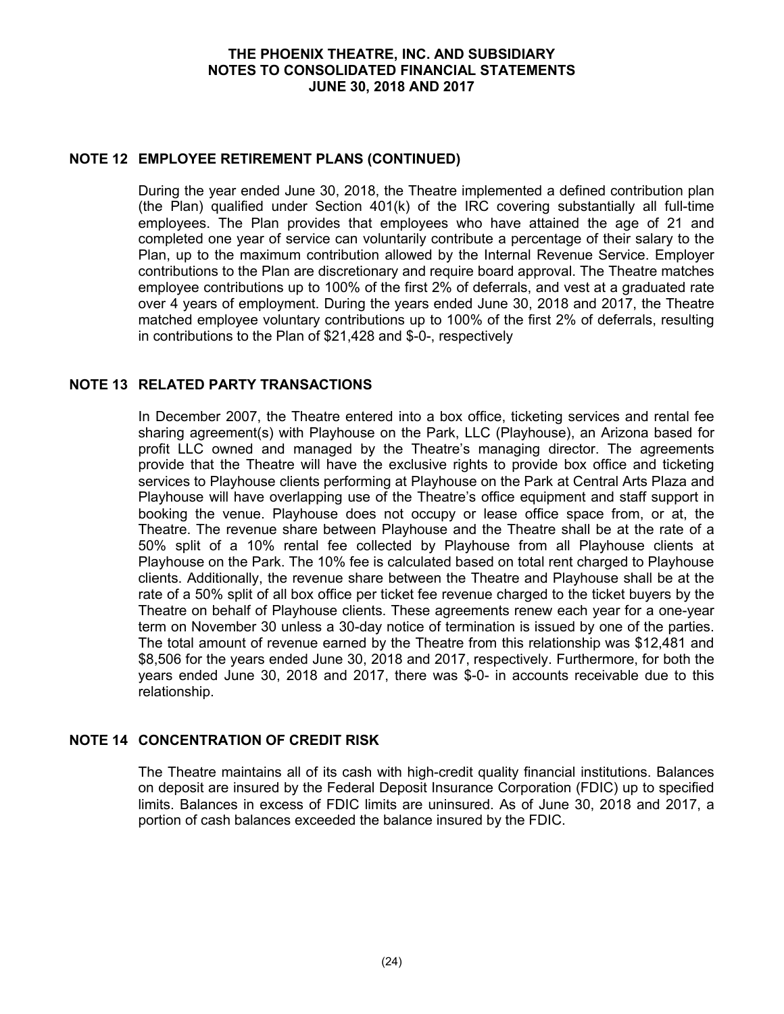## **NOTE 12 EMPLOYEE RETIREMENT PLANS (CONTINUED)**

During the year ended June 30, 2018, the Theatre implemented a defined contribution plan (the Plan) qualified under Section 401(k) of the IRC covering substantially all full-time employees. The Plan provides that employees who have attained the age of 21 and completed one year of service can voluntarily contribute a percentage of their salary to the Plan, up to the maximum contribution allowed by the Internal Revenue Service. Employer contributions to the Plan are discretionary and require board approval. The Theatre matches employee contributions up to 100% of the first 2% of deferrals, and vest at a graduated rate over 4 years of employment. During the years ended June 30, 2018 and 2017, the Theatre matched employee voluntary contributions up to 100% of the first 2% of deferrals, resulting in contributions to the Plan of \$21,428 and \$-0-, respectively

## **NOTE 13 RELATED PARTY TRANSACTIONS**

In December 2007, the Theatre entered into a box office, ticketing services and rental fee sharing agreement(s) with Playhouse on the Park, LLC (Playhouse), an Arizona based for profit LLC owned and managed by the Theatre's managing director. The agreements provide that the Theatre will have the exclusive rights to provide box office and ticketing services to Playhouse clients performing at Playhouse on the Park at Central Arts Plaza and Playhouse will have overlapping use of the Theatre's office equipment and staff support in booking the venue. Playhouse does not occupy or lease office space from, or at, the Theatre. The revenue share between Playhouse and the Theatre shall be at the rate of a 50% split of a 10% rental fee collected by Playhouse from all Playhouse clients at Playhouse on the Park. The 10% fee is calculated based on total rent charged to Playhouse clients. Additionally, the revenue share between the Theatre and Playhouse shall be at the rate of a 50% split of all box office per ticket fee revenue charged to the ticket buyers by the Theatre on behalf of Playhouse clients. These agreements renew each year for a one-year term on November 30 unless a 30-day notice of termination is issued by one of the parties. The total amount of revenue earned by the Theatre from this relationship was \$12,481 and \$8,506 for the years ended June 30, 2018 and 2017, respectively. Furthermore, for both the years ended June 30, 2018 and 2017, there was \$-0- in accounts receivable due to this relationship.

## **NOTE 14 CONCENTRATION OF CREDIT RISK**

The Theatre maintains all of its cash with high-credit quality financial institutions. Balances on deposit are insured by the Federal Deposit Insurance Corporation (FDIC) up to specified limits. Balances in excess of FDIC limits are uninsured. As of June 30, 2018 and 2017, a portion of cash balances exceeded the balance insured by the FDIC.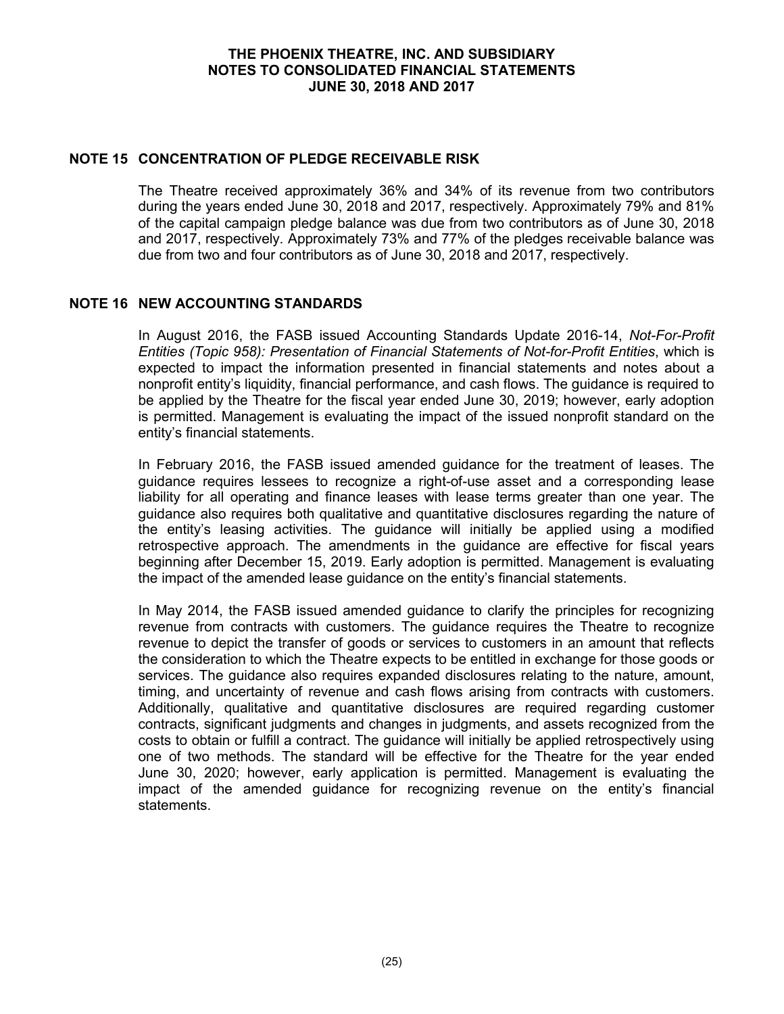## **NOTE 15 CONCENTRATION OF PLEDGE RECEIVABLE RISK**

The Theatre received approximately 36% and 34% of its revenue from two contributors during the years ended June 30, 2018 and 2017, respectively. Approximately 79% and 81% of the capital campaign pledge balance was due from two contributors as of June 30, 2018 and 2017, respectively. Approximately 73% and 77% of the pledges receivable balance was due from two and four contributors as of June 30, 2018 and 2017, respectively.

## **NOTE 16 NEW ACCOUNTING STANDARDS**

In August 2016, the FASB issued Accounting Standards Update 2016-14, *Not-For-Profit Entities (Topic 958): Presentation of Financial Statements of Not-for-Profit Entities*, which is expected to impact the information presented in financial statements and notes about a nonprofit entity's liquidity, financial performance, and cash flows. The guidance is required to be applied by the Theatre for the fiscal year ended June 30, 2019; however, early adoption is permitted. Management is evaluating the impact of the issued nonprofit standard on the entity's financial statements.

In February 2016, the FASB issued amended guidance for the treatment of leases. The guidance requires lessees to recognize a right-of-use asset and a corresponding lease liability for all operating and finance leases with lease terms greater than one year. The guidance also requires both qualitative and quantitative disclosures regarding the nature of the entity's leasing activities. The guidance will initially be applied using a modified retrospective approach. The amendments in the guidance are effective for fiscal years beginning after December 15, 2019. Early adoption is permitted. Management is evaluating the impact of the amended lease guidance on the entity's financial statements.

In May 2014, the FASB issued amended guidance to clarify the principles for recognizing revenue from contracts with customers. The guidance requires the Theatre to recognize revenue to depict the transfer of goods or services to customers in an amount that reflects the consideration to which the Theatre expects to be entitled in exchange for those goods or services. The guidance also requires expanded disclosures relating to the nature, amount, timing, and uncertainty of revenue and cash flows arising from contracts with customers. Additionally, qualitative and quantitative disclosures are required regarding customer contracts, significant judgments and changes in judgments, and assets recognized from the costs to obtain or fulfill a contract. The guidance will initially be applied retrospectively using one of two methods. The standard will be effective for the Theatre for the year ended June 30, 2020; however, early application is permitted. Management is evaluating the impact of the amended guidance for recognizing revenue on the entity's financial statements.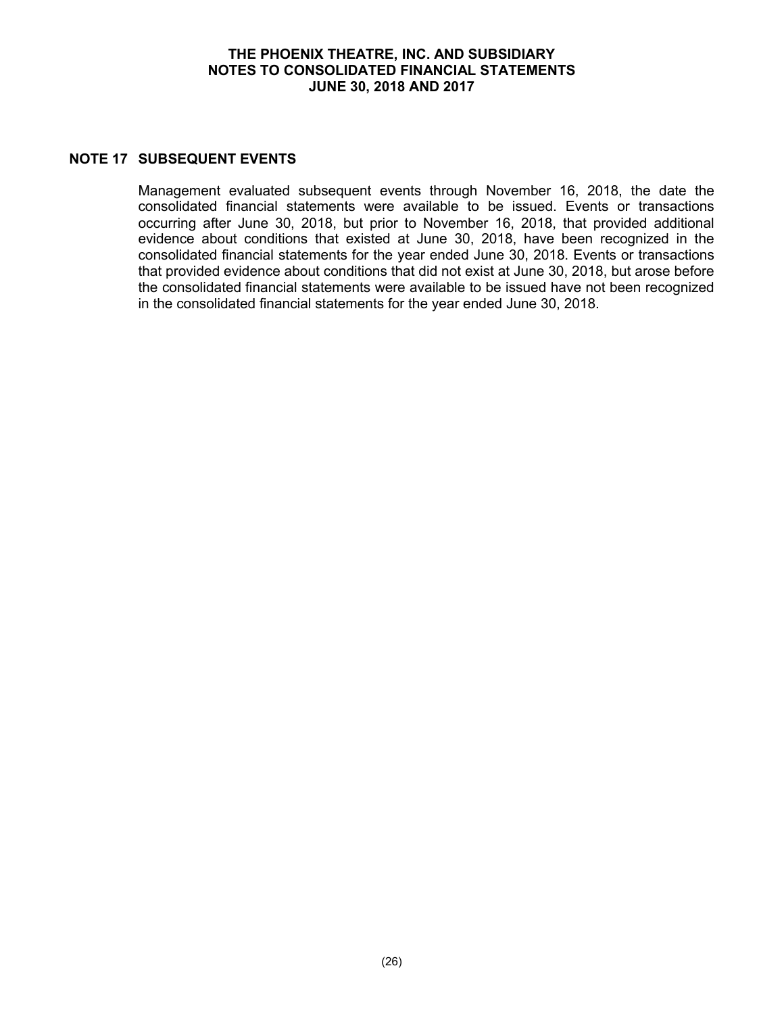## **NOTE 17 SUBSEQUENT EVENTS**

Management evaluated subsequent events through November 16, 2018, the date the consolidated financial statements were available to be issued. Events or transactions occurring after June 30, 2018, but prior to November 16, 2018, that provided additional evidence about conditions that existed at June 30, 2018, have been recognized in the consolidated financial statements for the year ended June 30, 2018. Events or transactions that provided evidence about conditions that did not exist at June 30, 2018, but arose before the consolidated financial statements were available to be issued have not been recognized in the consolidated financial statements for the year ended June 30, 2018.